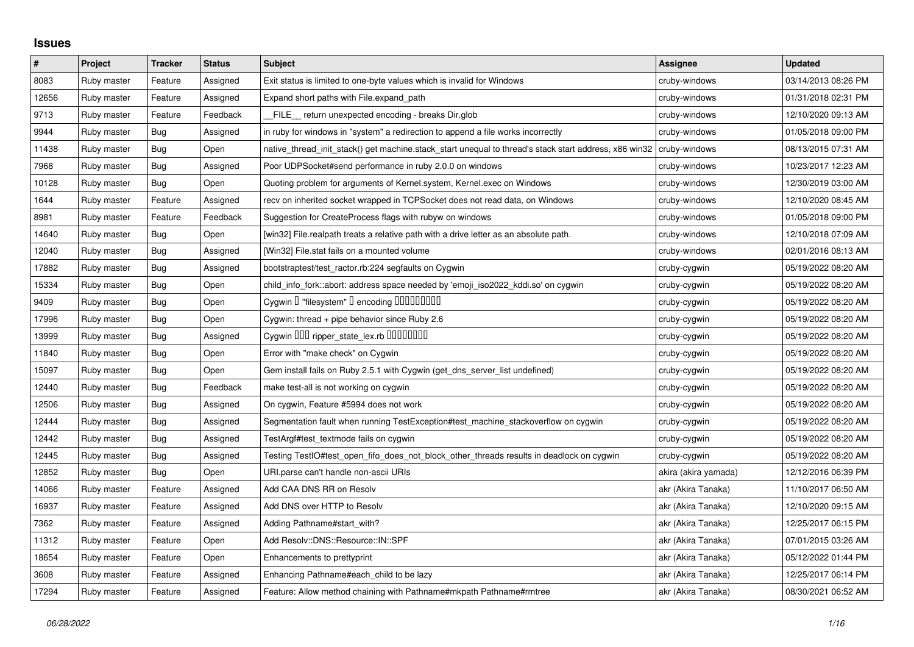## **Issues**

| $\#$  | Project     | <b>Tracker</b> | <b>Status</b> | <b>Subject</b>                                                                                        | <b>Assignee</b>      | <b>Updated</b>      |
|-------|-------------|----------------|---------------|-------------------------------------------------------------------------------------------------------|----------------------|---------------------|
| 8083  | Ruby master | Feature        | Assigned      | Exit status is limited to one-byte values which is invalid for Windows                                | cruby-windows        | 03/14/2013 08:26 PM |
| 12656 | Ruby master | Feature        | Assigned      | Expand short paths with File.expand_path                                                              | cruby-windows        | 01/31/2018 02:31 PM |
| 9713  | Ruby master | Feature        | Feedback      | FILE_ return unexpected encoding - breaks Dir.glob                                                    | cruby-windows        | 12/10/2020 09:13 AM |
| 9944  | Ruby master | <b>Bug</b>     | Assigned      | in ruby for windows in "system" a redirection to append a file works incorrectly                      | cruby-windows        | 01/05/2018 09:00 PM |
| 11438 | Ruby master | <b>Bug</b>     | Open          | native thread init stack() get machine.stack start unequal to thread's stack start address, x86 win32 | cruby-windows        | 08/13/2015 07:31 AM |
| 7968  | Ruby master | <b>Bug</b>     | Assigned      | Poor UDPSocket#send performance in ruby 2.0.0 on windows                                              | cruby-windows        | 10/23/2017 12:23 AM |
| 10128 | Ruby master | Bug            | Open          | Quoting problem for arguments of Kernel.system, Kernel.exec on Windows                                | cruby-windows        | 12/30/2019 03:00 AM |
| 1644  | Ruby master | Feature        | Assigned      | recv on inherited socket wrapped in TCPSocket does not read data, on Windows                          | cruby-windows        | 12/10/2020 08:45 AM |
| 8981  | Ruby master | Feature        | Feedback      | Suggestion for CreateProcess flags with rubyw on windows                                              | cruby-windows        | 01/05/2018 09:00 PM |
| 14640 | Ruby master | <b>Bug</b>     | Open          | [win32] File.realpath treats a relative path with a drive letter as an absolute path.                 | cruby-windows        | 12/10/2018 07:09 AM |
| 12040 | Ruby master | <b>Bug</b>     | Assigned      | [Win32] File.stat fails on a mounted volume                                                           | cruby-windows        | 02/01/2016 08:13 AM |
| 17882 | Ruby master | <b>Bug</b>     | Assigned      | bootstraptest/test_ractor.rb:224 segfaults on Cygwin                                                  | cruby-cygwin         | 05/19/2022 08:20 AM |
| 15334 | Ruby master | Bug            | Open          | child_info_fork::abort: address space needed by 'emoji_iso2022_kddi.so' on cygwin                     | cruby-cygwin         | 05/19/2022 08:20 AM |
| 9409  | Ruby master | <b>Bug</b>     | Open          | Cygwin I "filesystem" I encoding IIIIIIIIIIIII                                                        | cruby-cygwin         | 05/19/2022 08:20 AM |
| 17996 | Ruby master | <b>Bug</b>     | Open          | Cygwin: thread + pipe behavior since Ruby 2.6                                                         | cruby-cygwin         | 05/19/2022 08:20 AM |
| 13999 | Ruby master | Bug            | Assigned      | Cygwin OOO ripper_state_lex.rb 0000000                                                                | cruby-cygwin         | 05/19/2022 08:20 AM |
| 11840 | Ruby master | Bug            | Open          | Error with "make check" on Cygwin                                                                     | cruby-cygwin         | 05/19/2022 08:20 AM |
| 15097 | Ruby master | <b>Bug</b>     | Open          | Gem install fails on Ruby 2.5.1 with Cygwin (get_dns_server_list undefined)                           | cruby-cygwin         | 05/19/2022 08:20 AM |
| 12440 | Ruby master | <b>Bug</b>     | Feedback      | make test-all is not working on cygwin                                                                | cruby-cygwin         | 05/19/2022 08:20 AM |
| 12506 | Ruby master | Bug            | Assigned      | On cygwin, Feature #5994 does not work                                                                | cruby-cygwin         | 05/19/2022 08:20 AM |
| 12444 | Ruby master | <b>Bug</b>     | Assigned      | Segmentation fault when running TestException#test_machine_stackoverflow on cygwin                    | cruby-cygwin         | 05/19/2022 08:20 AM |
| 12442 | Ruby master | <b>Bug</b>     | Assigned      | TestArgf#test_textmode fails on cygwin                                                                | cruby-cygwin         | 05/19/2022 08:20 AM |
| 12445 | Ruby master | Bug            | Assigned      | Testing TestIO#test open fifo does not block other threads results in deadlock on cygwin              | cruby-cygwin         | 05/19/2022 08:20 AM |
| 12852 | Ruby master | <b>Bug</b>     | Open          | URI.parse can't handle non-ascii URIs                                                                 | akira (akira yamada) | 12/12/2016 06:39 PM |
| 14066 | Ruby master | Feature        | Assigned      | Add CAA DNS RR on Resolv                                                                              | akr (Akira Tanaka)   | 11/10/2017 06:50 AM |
| 16937 | Ruby master | Feature        | Assigned      | Add DNS over HTTP to Resolv                                                                           | akr (Akira Tanaka)   | 12/10/2020 09:15 AM |
| 7362  | Ruby master | Feature        | Assigned      | Adding Pathname#start_with?                                                                           | akr (Akira Tanaka)   | 12/25/2017 06:15 PM |
| 11312 | Ruby master | Feature        | Open          | Add Resolv::DNS::Resource::IN::SPF                                                                    | akr (Akira Tanaka)   | 07/01/2015 03:26 AM |
| 18654 | Ruby master | Feature        | Open          | Enhancements to prettyprint                                                                           | akr (Akira Tanaka)   | 05/12/2022 01:44 PM |
| 3608  | Ruby master | Feature        | Assigned      | Enhancing Pathname#each_child to be lazy                                                              | akr (Akira Tanaka)   | 12/25/2017 06:14 PM |
| 17294 | Ruby master | Feature        | Assigned      | Feature: Allow method chaining with Pathname#mkpath Pathname#rmtree                                   | akr (Akira Tanaka)   | 08/30/2021 06:52 AM |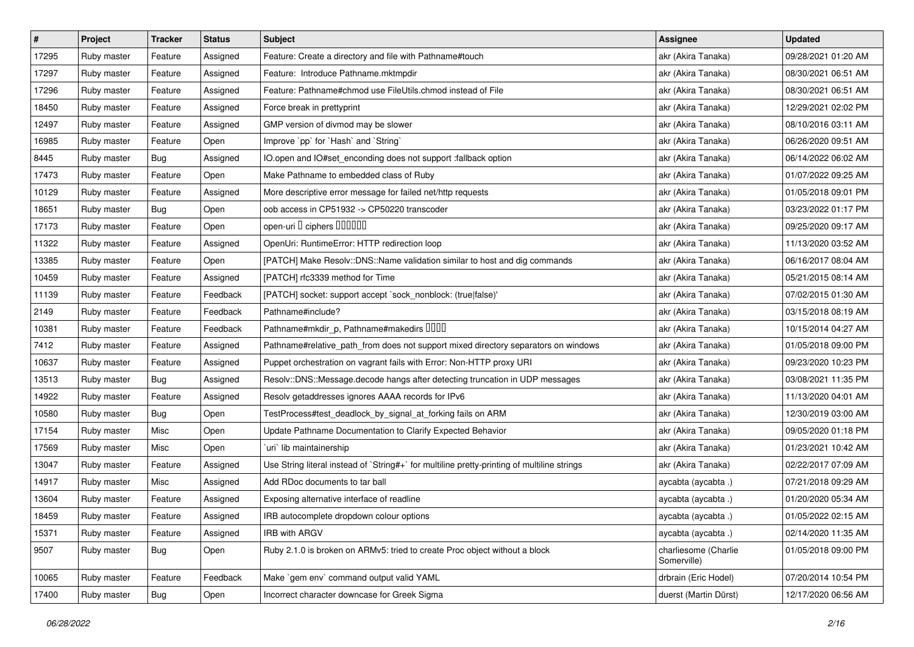| $\sharp$ | Project     | <b>Tracker</b> | <b>Status</b> | <b>Subject</b>                                                                              | <b>Assignee</b>                     | <b>Updated</b>      |
|----------|-------------|----------------|---------------|---------------------------------------------------------------------------------------------|-------------------------------------|---------------------|
| 17295    | Ruby master | Feature        | Assigned      | Feature: Create a directory and file with Pathname#touch                                    | akr (Akira Tanaka)                  | 09/28/2021 01:20 AM |
| 17297    | Ruby master | Feature        | Assigned      | Feature: Introduce Pathname.mktmpdir                                                        | akr (Akira Tanaka)                  | 08/30/2021 06:51 AM |
| 17296    | Ruby master | Feature        | Assigned      | Feature: Pathname#chmod use FileUtils.chmod instead of File                                 | akr (Akira Tanaka)                  | 08/30/2021 06:51 AM |
| 18450    | Ruby master | Feature        | Assigned      | Force break in prettyprint                                                                  | akr (Akira Tanaka)                  | 12/29/2021 02:02 PM |
| 12497    | Ruby master | Feature        | Assigned      | GMP version of divmod may be slower                                                         | akr (Akira Tanaka)                  | 08/10/2016 03:11 AM |
| 16985    | Ruby master | Feature        | Open          | Improve `pp` for `Hash` and `String`                                                        | akr (Akira Tanaka)                  | 06/26/2020 09:51 AM |
| 8445     | Ruby master | <b>Bug</b>     | Assigned      | IO.open and IO#set_enconding does not support :fallback option                              | akr (Akira Tanaka)                  | 06/14/2022 06:02 AM |
| 17473    | Ruby master | Feature        | Open          | Make Pathname to embedded class of Ruby                                                     | akr (Akira Tanaka)                  | 01/07/2022 09:25 AM |
| 10129    | Ruby master | Feature        | Assigned      | More descriptive error message for failed net/http requests                                 | akr (Akira Tanaka)                  | 01/05/2018 09:01 PM |
| 18651    | Ruby master | Bug            | Open          | oob access in CP51932 -> CP50220 transcoder                                                 | akr (Akira Tanaka)                  | 03/23/2022 01:17 PM |
| 17173    | Ruby master | Feature        | Open          | open-uri D ciphers DODOOD                                                                   | akr (Akira Tanaka)                  | 09/25/2020 09:17 AM |
| 11322    | Ruby master | Feature        | Assigned      | OpenUri: RuntimeError: HTTP redirection loop                                                | akr (Akira Tanaka)                  | 11/13/2020 03:52 AM |
| 13385    | Ruby master | Feature        | Open          | [PATCH] Make Resolv::DNS::Name validation similar to host and dig commands                  | akr (Akira Tanaka)                  | 06/16/2017 08:04 AM |
| 10459    | Ruby master | Feature        | Assigned      | [PATCH] rfc3339 method for Time                                                             | akr (Akira Tanaka)                  | 05/21/2015 08:14 AM |
| 11139    | Ruby master | Feature        | Feedback      | [PATCH] socket: support accept `sock_nonblock: (true false)'                                | akr (Akira Tanaka)                  | 07/02/2015 01:30 AM |
| 2149     | Ruby master | Feature        | Feedback      | Pathname#include?                                                                           | akr (Akira Tanaka)                  | 03/15/2018 08:19 AM |
| 10381    | Ruby master | Feature        | Feedback      | Pathname#mkdir_p, Pathname#makedirs DDDD                                                    | akr (Akira Tanaka)                  | 10/15/2014 04:27 AM |
| 7412     | Ruby master | Feature        | Assigned      | Pathname#relative_path_from does not support mixed directory separators on windows          | akr (Akira Tanaka)                  | 01/05/2018 09:00 PM |
| 10637    | Ruby master | Feature        | Assigned      | Puppet orchestration on vagrant fails with Error: Non-HTTP proxy URI                        | akr (Akira Tanaka)                  | 09/23/2020 10:23 PM |
| 13513    | Ruby master | <b>Bug</b>     | Assigned      | Resolv::DNS::Message.decode hangs after detecting truncation in UDP messages                | akr (Akira Tanaka)                  | 03/08/2021 11:35 PM |
| 14922    | Ruby master | Feature        | Assigned      | Resolv getaddresses ignores AAAA records for IPv6                                           | akr (Akira Tanaka)                  | 11/13/2020 04:01 AM |
| 10580    | Ruby master | Bug            | Open          | TestProcess#test_deadlock_by_signal_at_forking fails on ARM                                 | akr (Akira Tanaka)                  | 12/30/2019 03:00 AM |
| 17154    | Ruby master | Misc           | Open          | Update Pathname Documentation to Clarify Expected Behavior                                  | akr (Akira Tanaka)                  | 09/05/2020 01:18 PM |
| 17569    | Ruby master | Misc           | Open          | `uri` lib maintainership                                                                    | akr (Akira Tanaka)                  | 01/23/2021 10:42 AM |
| 13047    | Ruby master | Feature        | Assigned      | Use String literal instead of `String#+` for multiline pretty-printing of multiline strings | akr (Akira Tanaka)                  | 02/22/2017 07:09 AM |
| 14917    | Ruby master | Misc           | Assigned      | Add RDoc documents to tar ball                                                              | aycabta (aycabta .)                 | 07/21/2018 09:29 AM |
| 13604    | Ruby master | Feature        | Assigned      | Exposing alternative interface of readline                                                  | aycabta (aycabta .)                 | 01/20/2020 05:34 AM |
| 18459    | Ruby master | Feature        | Assigned      | IRB autocomplete dropdown colour options                                                    | aycabta (aycabta .)                 | 01/05/2022 02:15 AM |
| 15371    | Ruby master | Feature        | Assigned      | IRB with ARGV                                                                               | aycabta (aycabta .)                 | 02/14/2020 11:35 AM |
| 9507     | Ruby master | Bug            | Open          | Ruby 2.1.0 is broken on ARMv5: tried to create Proc object without a block                  | charliesome (Charlie<br>Somerville) | 01/05/2018 09:00 PM |
| 10065    | Ruby master | Feature        | Feedback      | Make `gem env` command output valid YAML                                                    | drbrain (Eric Hodel)                | 07/20/2014 10:54 PM |
| 17400    | Ruby master | <b>Bug</b>     | Open          | Incorrect character downcase for Greek Sigma                                                | duerst (Martin Dürst)               | 12/17/2020 06:56 AM |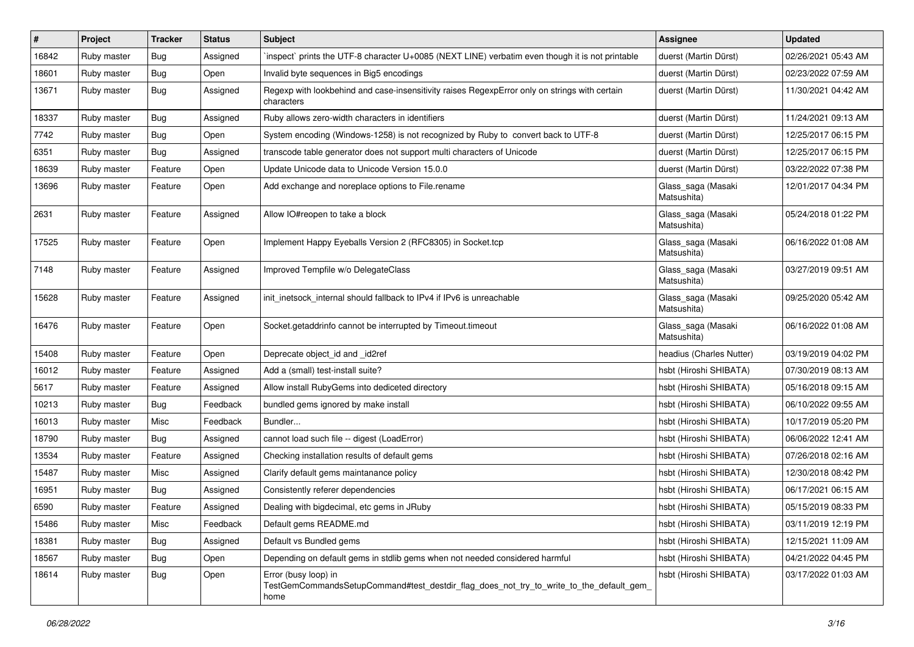| #     | Project     | <b>Tracker</b> | <b>Status</b> | <b>Subject</b>                                                                                                          | <b>Assignee</b>                   | <b>Updated</b>      |
|-------|-------------|----------------|---------------|-------------------------------------------------------------------------------------------------------------------------|-----------------------------------|---------------------|
| 16842 | Ruby master | <b>Bug</b>     | Assigned      | inspect` prints the UTF-8 character U+0085 (NEXT LINE) verbatim even though it is not printable                         | duerst (Martin Dürst)             | 02/26/2021 05:43 AM |
| 18601 | Ruby master | Bug            | Open          | Invalid byte sequences in Big5 encodings                                                                                | duerst (Martin Dürst)             | 02/23/2022 07:59 AM |
| 13671 | Ruby master | Bug            | Assigned      | Regexp with lookbehind and case-insensitivity raises RegexpError only on strings with certain<br>characters             | duerst (Martin Dürst)             | 11/30/2021 04:42 AM |
| 18337 | Ruby master | Bug            | Assigned      | Ruby allows zero-width characters in identifiers                                                                        | duerst (Martin Dürst)             | 11/24/2021 09:13 AM |
| 7742  | Ruby master | Bug            | Open          | System encoding (Windows-1258) is not recognized by Ruby to convert back to UTF-8                                       | duerst (Martin Dürst)             | 12/25/2017 06:15 PM |
| 6351  | Ruby master | <b>Bug</b>     | Assigned      | transcode table generator does not support multi characters of Unicode                                                  | duerst (Martin Dürst)             | 12/25/2017 06:15 PM |
| 18639 | Ruby master | Feature        | Open          | Update Unicode data to Unicode Version 15.0.0                                                                           | duerst (Martin Dürst)             | 03/22/2022 07:38 PM |
| 13696 | Ruby master | Feature        | Open          | Add exchange and noreplace options to File.rename                                                                       | Glass_saga (Masaki<br>Matsushita) | 12/01/2017 04:34 PM |
| 2631  | Ruby master | Feature        | Assigned      | Allow IO#reopen to take a block                                                                                         | Glass_saga (Masaki<br>Matsushita) | 05/24/2018 01:22 PM |
| 17525 | Ruby master | Feature        | Open          | Implement Happy Eyeballs Version 2 (RFC8305) in Socket.tcp                                                              | Glass_saga (Masaki<br>Matsushita) | 06/16/2022 01:08 AM |
| 7148  | Ruby master | Feature        | Assigned      | Improved Tempfile w/o DelegateClass                                                                                     | Glass_saga (Masaki<br>Matsushita) | 03/27/2019 09:51 AM |
| 15628 | Ruby master | Feature        | Assigned      | init_inetsock_internal should fallback to IPv4 if IPv6 is unreachable                                                   | Glass_saga (Masaki<br>Matsushita) | 09/25/2020 05:42 AM |
| 16476 | Ruby master | Feature        | Open          | Socket.getaddrinfo cannot be interrupted by Timeout.timeout                                                             | Glass_saga (Masaki<br>Matsushita) | 06/16/2022 01:08 AM |
| 15408 | Ruby master | Feature        | Open          | Deprecate object_id and _id2ref                                                                                         | headius (Charles Nutter)          | 03/19/2019 04:02 PM |
| 16012 | Ruby master | Feature        | Assigned      | Add a (small) test-install suite?                                                                                       | hsbt (Hiroshi SHIBATA)            | 07/30/2019 08:13 AM |
| 5617  | Ruby master | Feature        | Assigned      | Allow install RubyGems into dediceted directory                                                                         | hsbt (Hiroshi SHIBATA)            | 05/16/2018 09:15 AM |
| 10213 | Ruby master | Bug            | Feedback      | bundled gems ignored by make install                                                                                    | hsbt (Hiroshi SHIBATA)            | 06/10/2022 09:55 AM |
| 16013 | Ruby master | Misc           | Feedback      | Bundler                                                                                                                 | hsbt (Hiroshi SHIBATA)            | 10/17/2019 05:20 PM |
| 18790 | Ruby master | Bug            | Assigned      | cannot load such file -- digest (LoadError)                                                                             | hsbt (Hiroshi SHIBATA)            | 06/06/2022 12:41 AM |
| 13534 | Ruby master | Feature        | Assigned      | Checking installation results of default gems                                                                           | hsbt (Hiroshi SHIBATA)            | 07/26/2018 02:16 AM |
| 15487 | Ruby master | Misc           | Assigned      | Clarify default gems maintanance policy                                                                                 | hsbt (Hiroshi SHIBATA)            | 12/30/2018 08:42 PM |
| 16951 | Ruby master | <b>Bug</b>     | Assigned      | Consistently referer dependencies                                                                                       | hsbt (Hiroshi SHIBATA)            | 06/17/2021 06:15 AM |
| 6590  | Ruby master | Feature        | Assigned      | Dealing with bigdecimal, etc gems in JRuby                                                                              | hsbt (Hiroshi SHIBATA)            | 05/15/2019 08:33 PM |
| 15486 | Ruby master | Misc           | Feedback      | Default gems README.md                                                                                                  | hsbt (Hiroshi SHIBATA)            | 03/11/2019 12:19 PM |
| 18381 | Ruby master | <b>Bug</b>     | Assigned      | Default vs Bundled gems                                                                                                 | hsbt (Hiroshi SHIBATA)            | 12/15/2021 11:09 AM |
| 18567 | Ruby master | Bug            | Open          | Depending on default gems in stdlib gems when not needed considered harmful                                             | hsbt (Hiroshi SHIBATA)            | 04/21/2022 04:45 PM |
| 18614 | Ruby master | Bug            | Open          | Error (busy loop) in<br>TestGemCommandsSetupCommand#test_destdir_flag_does_not_try_to_write_to_the_default_gem_<br>home | hsbt (Hiroshi SHIBATA)            | 03/17/2022 01:03 AM |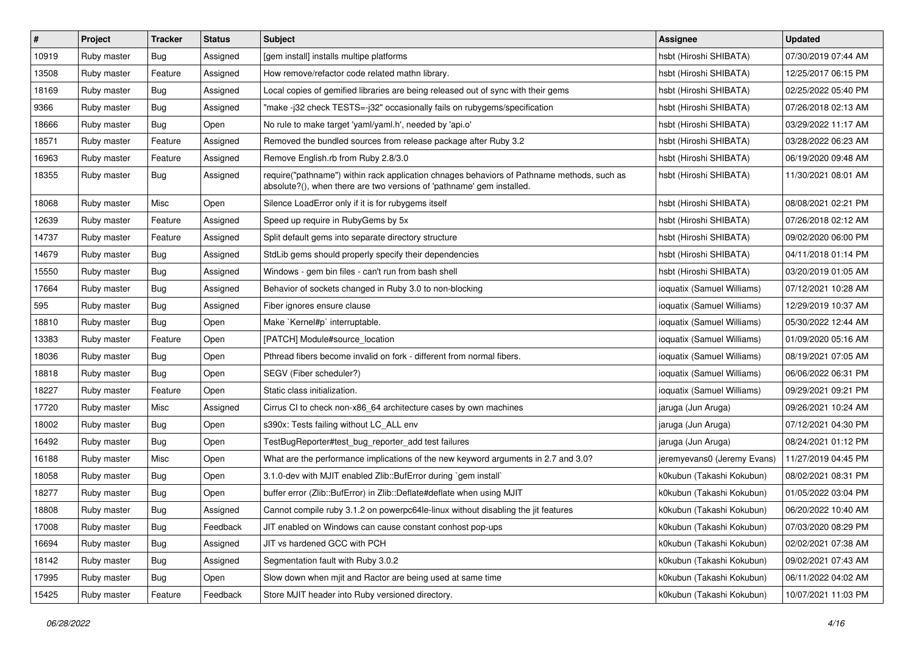| $\pmb{\#}$ | Project     | <b>Tracker</b> | <b>Status</b> | Subject                                                                                                                                                             | <b>Assignee</b>             | <b>Updated</b>      |
|------------|-------------|----------------|---------------|---------------------------------------------------------------------------------------------------------------------------------------------------------------------|-----------------------------|---------------------|
| 10919      | Ruby master | <b>Bug</b>     | Assigned      | [gem install] installs multipe platforms                                                                                                                            | hsbt (Hiroshi SHIBATA)      | 07/30/2019 07:44 AM |
| 13508      | Ruby master | Feature        | Assigned      | How remove/refactor code related mathn library.                                                                                                                     | hsbt (Hiroshi SHIBATA)      | 12/25/2017 06:15 PM |
| 18169      | Ruby master | <b>Bug</b>     | Assigned      | Local copies of gemified libraries are being released out of sync with their gems                                                                                   | hsbt (Hiroshi SHIBATA)      | 02/25/2022 05:40 PM |
| 9366       | Ruby master | <b>Bug</b>     | Assigned      | "make -j32 check TESTS=-j32" occasionally fails on rubygems/specification                                                                                           | hsbt (Hiroshi SHIBATA)      | 07/26/2018 02:13 AM |
| 18666      | Ruby master | Bug            | Open          | No rule to make target 'yaml/yaml.h', needed by 'api.o'                                                                                                             | hsbt (Hiroshi SHIBATA)      | 03/29/2022 11:17 AM |
| 18571      | Ruby master | Feature        | Assigned      | Removed the bundled sources from release package after Ruby 3.2                                                                                                     | hsbt (Hiroshi SHIBATA)      | 03/28/2022 06:23 AM |
| 16963      | Ruby master | Feature        | Assigned      | Remove English.rb from Ruby 2.8/3.0                                                                                                                                 | hsbt (Hiroshi SHIBATA)      | 06/19/2020 09:48 AM |
| 18355      | Ruby master | <b>Bug</b>     | Assigned      | require("pathname") within rack application chnages behaviors of Pathname methods, such as<br>absolute?(), when there are two versions of 'pathname' gem installed. | hsbt (Hiroshi SHIBATA)      | 11/30/2021 08:01 AM |
| 18068      | Ruby master | Misc           | Open          | Silence LoadError only if it is for rubygems itself                                                                                                                 | hsbt (Hiroshi SHIBATA)      | 08/08/2021 02:21 PM |
| 12639      | Ruby master | Feature        | Assigned      | Speed up require in RubyGems by 5x                                                                                                                                  | hsbt (Hiroshi SHIBATA)      | 07/26/2018 02:12 AM |
| 14737      | Ruby master | Feature        | Assigned      | Split default gems into separate directory structure                                                                                                                | hsbt (Hiroshi SHIBATA)      | 09/02/2020 06:00 PM |
| 14679      | Ruby master | Bug            | Assigned      | StdLib gems should properly specify their dependencies                                                                                                              | hsbt (Hiroshi SHIBATA)      | 04/11/2018 01:14 PM |
| 15550      | Ruby master | <b>Bug</b>     | Assigned      | Windows - gem bin files - can't run from bash shell                                                                                                                 | hsbt (Hiroshi SHIBATA)      | 03/20/2019 01:05 AM |
| 17664      | Ruby master | <b>Bug</b>     | Assigned      | Behavior of sockets changed in Ruby 3.0 to non-blocking                                                                                                             | ioquatix (Samuel Williams)  | 07/12/2021 10:28 AM |
| 595        | Ruby master | Bug            | Assigned      | Fiber ignores ensure clause                                                                                                                                         | ioquatix (Samuel Williams)  | 12/29/2019 10:37 AM |
| 18810      | Ruby master | Bug            | Open          | Make `Kernel#p` interruptable.                                                                                                                                      | ioquatix (Samuel Williams)  | 05/30/2022 12:44 AM |
| 13383      | Ruby master | Feature        | Open          | [PATCH] Module#source location                                                                                                                                      | ioquatix (Samuel Williams)  | 01/09/2020 05:16 AM |
| 18036      | Ruby master | Bug            | Open          | Pthread fibers become invalid on fork - different from normal fibers.                                                                                               | ioquatix (Samuel Williams)  | 08/19/2021 07:05 AM |
| 18818      | Ruby master | Bug            | Open          | SEGV (Fiber scheduler?)                                                                                                                                             | ioquatix (Samuel Williams)  | 06/06/2022 06:31 PM |
| 18227      | Ruby master | Feature        | Open          | Static class initialization.                                                                                                                                        | ioquatix (Samuel Williams)  | 09/29/2021 09:21 PM |
| 17720      | Ruby master | Misc           | Assigned      | Cirrus CI to check non-x86_64 architecture cases by own machines                                                                                                    | jaruga (Jun Aruga)          | 09/26/2021 10:24 AM |
| 18002      | Ruby master | <b>Bug</b>     | Open          | s390x: Tests failing without LC_ALL env                                                                                                                             | jaruga (Jun Aruga)          | 07/12/2021 04:30 PM |
| 16492      | Ruby master | <b>Bug</b>     | Open          | TestBugReporter#test_bug_reporter_add test failures                                                                                                                 | jaruga (Jun Aruga)          | 08/24/2021 01:12 PM |
| 16188      | Ruby master | Misc           | Open          | What are the performance implications of the new keyword arguments in 2.7 and 3.0?                                                                                  | jeremyevans0 (Jeremy Evans) | 11/27/2019 04:45 PM |
| 18058      | Ruby master | Bug            | Open          | 3.1.0-dev with MJIT enabled Zlib::BufError during `gem install`                                                                                                     | k0kubun (Takashi Kokubun)   | 08/02/2021 08:31 PM |
| 18277      | Ruby master | <b>Bug</b>     | Open          | buffer error (Zlib::BufError) in Zlib::Deflate#deflate when using MJIT                                                                                              | k0kubun (Takashi Kokubun)   | 01/05/2022 03:04 PM |
| 18808      | Ruby master | <b>Bug</b>     | Assigned      | Cannot compile ruby 3.1.2 on powerpc64le-linux without disabling the jit features                                                                                   | k0kubun (Takashi Kokubun)   | 06/20/2022 10:40 AM |
| 17008      | Ruby master | <b>Bug</b>     | Feedback      | JIT enabled on Windows can cause constant conhost pop-ups                                                                                                           | k0kubun (Takashi Kokubun)   | 07/03/2020 08:29 PM |
| 16694      | Ruby master | <b>Bug</b>     | Assigned      | JIT vs hardened GCC with PCH                                                                                                                                        | k0kubun (Takashi Kokubun)   | 02/02/2021 07:38 AM |
| 18142      | Ruby master | <b>Bug</b>     | Assigned      | Segmentation fault with Ruby 3.0.2                                                                                                                                  | k0kubun (Takashi Kokubun)   | 09/02/2021 07:43 AM |
| 17995      | Ruby master | <b>Bug</b>     | Open          | Slow down when mjit and Ractor are being used at same time                                                                                                          | k0kubun (Takashi Kokubun)   | 06/11/2022 04:02 AM |
| 15425      | Ruby master | Feature        | Feedback      | Store MJIT header into Ruby versioned directory.                                                                                                                    | k0kubun (Takashi Kokubun)   | 10/07/2021 11:03 PM |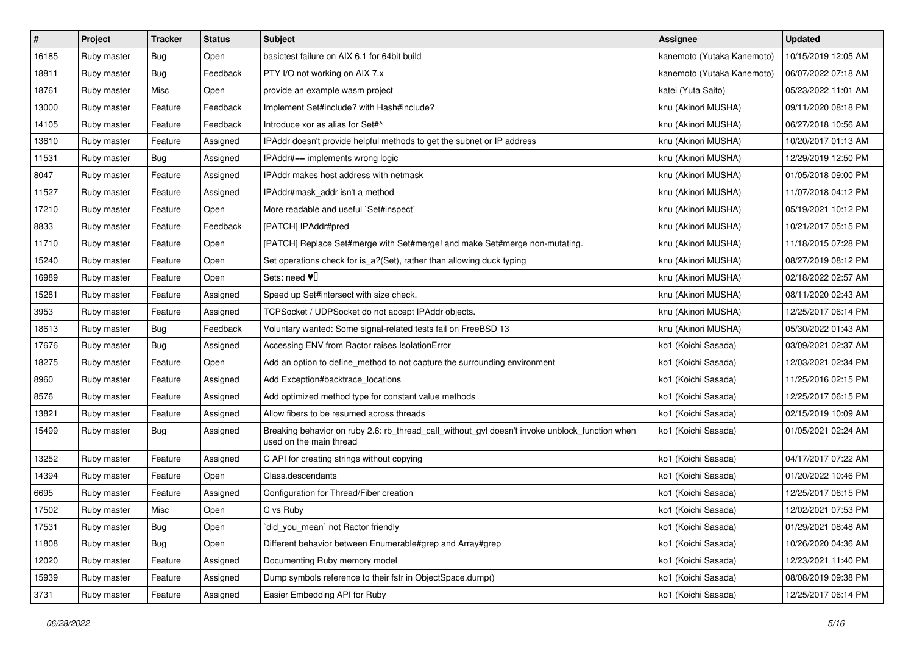| $\sharp$ | Project     | <b>Tracker</b> | <b>Status</b> | Subject                                                                                                                   | <b>Assignee</b>            | <b>Updated</b>      |
|----------|-------------|----------------|---------------|---------------------------------------------------------------------------------------------------------------------------|----------------------------|---------------------|
| 16185    | Ruby master | <b>Bug</b>     | Open          | basictest failure on AIX 6.1 for 64bit build                                                                              | kanemoto (Yutaka Kanemoto) | 10/15/2019 12:05 AM |
| 18811    | Ruby master | Bug            | Feedback      | PTY I/O not working on AIX 7.x                                                                                            | kanemoto (Yutaka Kanemoto) | 06/07/2022 07:18 AM |
| 18761    | Ruby master | Misc           | Open          | provide an example wasm project                                                                                           | katei (Yuta Saito)         | 05/23/2022 11:01 AM |
| 13000    | Ruby master | Feature        | Feedback      | Implement Set#include? with Hash#include?                                                                                 | knu (Akinori MUSHA)        | 09/11/2020 08:18 PM |
| 14105    | Ruby master | Feature        | Feedback      | Introduce xor as alias for Set#^                                                                                          | knu (Akinori MUSHA)        | 06/27/2018 10:56 AM |
| 13610    | Ruby master | Feature        | Assigned      | IPAddr doesn't provide helpful methods to get the subnet or IP address                                                    | knu (Akinori MUSHA)        | 10/20/2017 01:13 AM |
| 11531    | Ruby master | Bug            | Assigned      | IPAddr#== implements wrong logic                                                                                          | knu (Akinori MUSHA)        | 12/29/2019 12:50 PM |
| 8047     | Ruby master | Feature        | Assigned      | <b>IPAddr makes host address with netmask</b>                                                                             | knu (Akinori MUSHA)        | 01/05/2018 09:00 PM |
| 11527    | Ruby master | Feature        | Assigned      | IPAddr#mask_addr isn't a method                                                                                           | knu (Akinori MUSHA)        | 11/07/2018 04:12 PM |
| 17210    | Ruby master | Feature        | Open          | More readable and useful `Set#inspect`                                                                                    | knu (Akinori MUSHA)        | 05/19/2021 10:12 PM |
| 8833     | Ruby master | Feature        | Feedback      | [PATCH] IPAddr#pred                                                                                                       | knu (Akinori MUSHA)        | 10/21/2017 05:15 PM |
| 11710    | Ruby master | Feature        | Open          | [PATCH] Replace Set#merge with Set#merge! and make Set#merge non-mutating.                                                | knu (Akinori MUSHA)        | 11/18/2015 07:28 PM |
| 15240    | Ruby master | Feature        | Open          | Set operations check for is_a?(Set), rather than allowing duck typing                                                     | knu (Akinori MUSHA)        | 08/27/2019 08:12 PM |
| 16989    | Ruby master | Feature        | Open          | Sets: need $\Psi$                                                                                                         | knu (Akinori MUSHA)        | 02/18/2022 02:57 AM |
| 15281    | Ruby master | Feature        | Assigned      | Speed up Set#intersect with size check.                                                                                   | knu (Akinori MUSHA)        | 08/11/2020 02:43 AM |
| 3953     | Ruby master | Feature        | Assigned      | TCPSocket / UDPSocket do not accept IPAddr objects.                                                                       | knu (Akinori MUSHA)        | 12/25/2017 06:14 PM |
| 18613    | Ruby master | Bug            | Feedback      | Voluntary wanted: Some signal-related tests fail on FreeBSD 13                                                            | knu (Akinori MUSHA)        | 05/30/2022 01:43 AM |
| 17676    | Ruby master | Bug            | Assigned      | Accessing ENV from Ractor raises IsolationError                                                                           | ko1 (Koichi Sasada)        | 03/09/2021 02:37 AM |
| 18275    | Ruby master | Feature        | Open          | Add an option to define method to not capture the surrounding environment                                                 | ko1 (Koichi Sasada)        | 12/03/2021 02:34 PM |
| 8960     | Ruby master | Feature        | Assigned      | Add Exception#backtrace_locations                                                                                         | ko1 (Koichi Sasada)        | 11/25/2016 02:15 PM |
| 8576     | Ruby master | Feature        | Assigned      | Add optimized method type for constant value methods                                                                      | ko1 (Koichi Sasada)        | 12/25/2017 06:15 PM |
| 13821    | Ruby master | Feature        | Assigned      | Allow fibers to be resumed across threads                                                                                 | ko1 (Koichi Sasada)        | 02/15/2019 10:09 AM |
| 15499    | Ruby master | Bug            | Assigned      | Breaking behavior on ruby 2.6: rb_thread_call_without_gvl doesn't invoke unblock_function when<br>used on the main thread | ko1 (Koichi Sasada)        | 01/05/2021 02:24 AM |
| 13252    | Ruby master | Feature        | Assigned      | C API for creating strings without copying                                                                                | ko1 (Koichi Sasada)        | 04/17/2017 07:22 AM |
| 14394    | Ruby master | Feature        | Open          | Class.descendants                                                                                                         | ko1 (Koichi Sasada)        | 01/20/2022 10:46 PM |
| 6695     | Ruby master | Feature        | Assigned      | Configuration for Thread/Fiber creation                                                                                   | ko1 (Koichi Sasada)        | 12/25/2017 06:15 PM |
| 17502    | Ruby master | Misc           | Open          | C vs Ruby                                                                                                                 | ko1 (Koichi Sasada)        | 12/02/2021 07:53 PM |
| 17531    | Ruby master | <b>Bug</b>     | Open          | did_you_mean' not Ractor friendly                                                                                         | ko1 (Koichi Sasada)        | 01/29/2021 08:48 AM |
| 11808    | Ruby master | <b>Bug</b>     | Open          | Different behavior between Enumerable#grep and Array#grep                                                                 | ko1 (Koichi Sasada)        | 10/26/2020 04:36 AM |
| 12020    | Ruby master | Feature        | Assigned      | Documenting Ruby memory model                                                                                             | ko1 (Koichi Sasada)        | 12/23/2021 11:40 PM |
| 15939    | Ruby master | Feature        | Assigned      | Dump symbols reference to their fstr in ObjectSpace.dump()                                                                | ko1 (Koichi Sasada)        | 08/08/2019 09:38 PM |
| 3731     | Ruby master | Feature        | Assigned      | Easier Embedding API for Ruby                                                                                             | ko1 (Koichi Sasada)        | 12/25/2017 06:14 PM |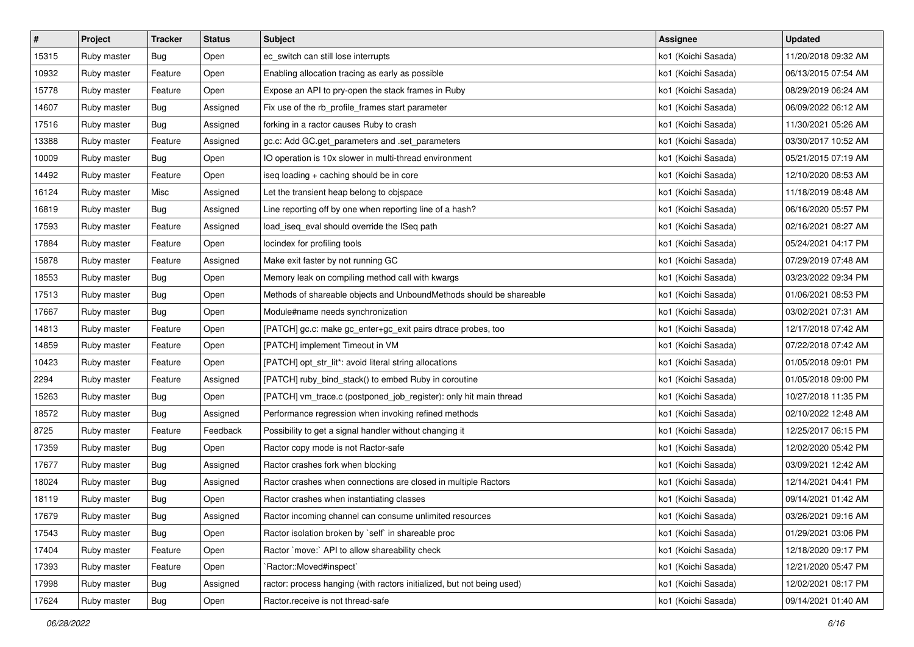| $\pmb{\#}$ | Project     | <b>Tracker</b> | <b>Status</b> | Subject                                                                | Assignee            | <b>Updated</b>      |
|------------|-------------|----------------|---------------|------------------------------------------------------------------------|---------------------|---------------------|
| 15315      | Ruby master | Bug            | Open          | ec_switch can still lose interrupts                                    | ko1 (Koichi Sasada) | 11/20/2018 09:32 AM |
| 10932      | Ruby master | Feature        | Open          | Enabling allocation tracing as early as possible                       | ko1 (Koichi Sasada) | 06/13/2015 07:54 AM |
| 15778      | Ruby master | Feature        | Open          | Expose an API to pry-open the stack frames in Ruby                     | ko1 (Koichi Sasada) | 08/29/2019 06:24 AM |
| 14607      | Ruby master | Bug            | Assigned      | Fix use of the rb_profile_frames start parameter                       | ko1 (Koichi Sasada) | 06/09/2022 06:12 AM |
| 17516      | Ruby master | Bug            | Assigned      | forking in a ractor causes Ruby to crash                               | ko1 (Koichi Sasada) | 11/30/2021 05:26 AM |
| 13388      | Ruby master | Feature        | Assigned      | gc.c: Add GC.get_parameters and .set_parameters                        | ko1 (Koichi Sasada) | 03/30/2017 10:52 AM |
| 10009      | Ruby master | <b>Bug</b>     | Open          | IO operation is 10x slower in multi-thread environment                 | ko1 (Koichi Sasada) | 05/21/2015 07:19 AM |
| 14492      | Ruby master | Feature        | Open          | iseq loading + caching should be in core                               | ko1 (Koichi Sasada) | 12/10/2020 08:53 AM |
| 16124      | Ruby master | Misc           | Assigned      | Let the transient heap belong to objspace                              | ko1 (Koichi Sasada) | 11/18/2019 08:48 AM |
| 16819      | Ruby master | Bug            | Assigned      | Line reporting off by one when reporting line of a hash?               | ko1 (Koichi Sasada) | 06/16/2020 05:57 PM |
| 17593      | Ruby master | Feature        | Assigned      | load_iseq_eval should override the ISeq path                           | ko1 (Koichi Sasada) | 02/16/2021 08:27 AM |
| 17884      | Ruby master | Feature        | Open          | locindex for profiling tools                                           | ko1 (Koichi Sasada) | 05/24/2021 04:17 PM |
| 15878      | Ruby master | Feature        | Assigned      | Make exit faster by not running GC                                     | ko1 (Koichi Sasada) | 07/29/2019 07:48 AM |
| 18553      | Ruby master | Bug            | Open          | Memory leak on compiling method call with kwargs                       | ko1 (Koichi Sasada) | 03/23/2022 09:34 PM |
| 17513      | Ruby master | <b>Bug</b>     | Open          | Methods of shareable objects and UnboundMethods should be shareable    | ko1 (Koichi Sasada) | 01/06/2021 08:53 PM |
| 17667      | Ruby master | Bug            | Open          | Module#name needs synchronization                                      | ko1 (Koichi Sasada) | 03/02/2021 07:31 AM |
| 14813      | Ruby master | Feature        | Open          | [PATCH] gc.c: make gc_enter+gc_exit pairs dtrace probes, too           | ko1 (Koichi Sasada) | 12/17/2018 07:42 AM |
| 14859      | Ruby master | Feature        | Open          | [PATCH] implement Timeout in VM                                        | ko1 (Koichi Sasada) | 07/22/2018 07:42 AM |
| 10423      | Ruby master | Feature        | Open          | [PATCH] opt_str_lit*: avoid literal string allocations                 | ko1 (Koichi Sasada) | 01/05/2018 09:01 PM |
| 2294       | Ruby master | Feature        | Assigned      | [PATCH] ruby_bind_stack() to embed Ruby in coroutine                   | ko1 (Koichi Sasada) | 01/05/2018 09:00 PM |
| 15263      | Ruby master | Bug            | Open          | [PATCH] vm_trace.c (postponed_job_register): only hit main thread      | ko1 (Koichi Sasada) | 10/27/2018 11:35 PM |
| 18572      | Ruby master | <b>Bug</b>     | Assigned      | Performance regression when invoking refined methods                   | ko1 (Koichi Sasada) | 02/10/2022 12:48 AM |
| 8725       | Ruby master | Feature        | Feedback      | Possibility to get a signal handler without changing it                | ko1 (Koichi Sasada) | 12/25/2017 06:15 PM |
| 17359      | Ruby master | <b>Bug</b>     | Open          | Ractor copy mode is not Ractor-safe                                    | ko1 (Koichi Sasada) | 12/02/2020 05:42 PM |
| 17677      | Ruby master | <b>Bug</b>     | Assigned      | Ractor crashes fork when blocking                                      | ko1 (Koichi Sasada) | 03/09/2021 12:42 AM |
| 18024      | Ruby master | Bug            | Assigned      | Ractor crashes when connections are closed in multiple Ractors         | ko1 (Koichi Sasada) | 12/14/2021 04:41 PM |
| 18119      | Ruby master | Bug            | Open          | Ractor crashes when instantiating classes                              | ko1 (Koichi Sasada) | 09/14/2021 01:42 AM |
| 17679      | Ruby master | Bug            | Assigned      | Ractor incoming channel can consume unlimited resources                | ko1 (Koichi Sasada) | 03/26/2021 09:16 AM |
| 17543      | Ruby master | Bug            | Open          | Ractor isolation broken by `self` in shareable proc                    | ko1 (Koichi Sasada) | 01/29/2021 03:06 PM |
| 17404      | Ruby master | Feature        | Open          | Ractor `move:` API to allow shareability check                         | ko1 (Koichi Sasada) | 12/18/2020 09:17 PM |
| 17393      | Ruby master | Feature        | Open          | `Ractor::Moved#inspect`                                                | ko1 (Koichi Sasada) | 12/21/2020 05:47 PM |
| 17998      | Ruby master | <b>Bug</b>     | Assigned      | ractor: process hanging (with ractors initialized, but not being used) | ko1 (Koichi Sasada) | 12/02/2021 08:17 PM |
| 17624      | Ruby master | <b>Bug</b>     | Open          | Ractor.receive is not thread-safe                                      | ko1 (Koichi Sasada) | 09/14/2021 01:40 AM |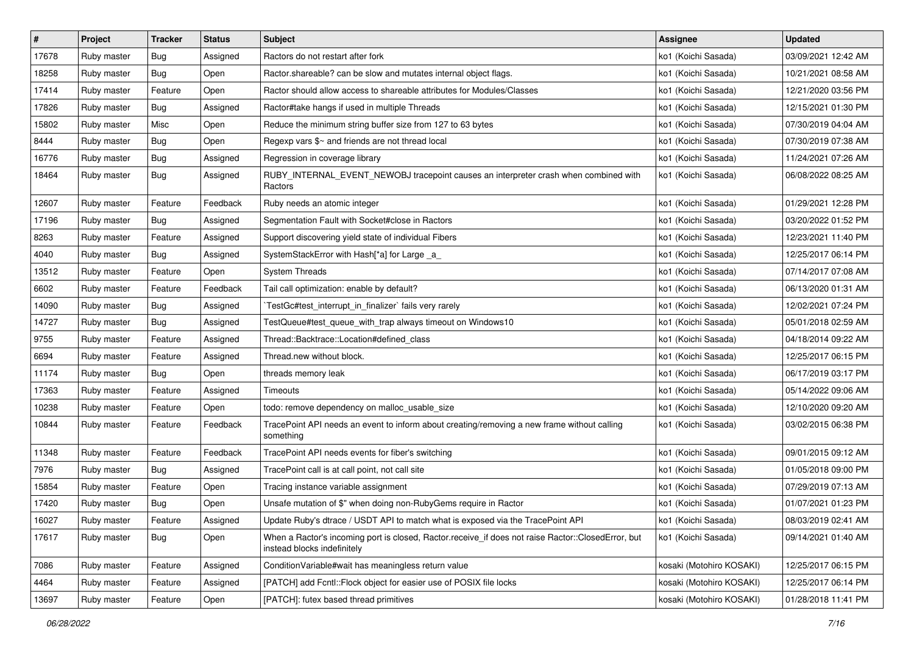| $\pmb{\#}$ | Project     | <b>Tracker</b> | <b>Status</b> | Subject                                                                                                                           | <b>Assignee</b>          | <b>Updated</b>      |
|------------|-------------|----------------|---------------|-----------------------------------------------------------------------------------------------------------------------------------|--------------------------|---------------------|
| 17678      | Ruby master | <b>Bug</b>     | Assigned      | Ractors do not restart after fork                                                                                                 | ko1 (Koichi Sasada)      | 03/09/2021 12:42 AM |
| 18258      | Ruby master | Bug            | Open          | Ractor shareable? can be slow and mutates internal object flags.                                                                  | ko1 (Koichi Sasada)      | 10/21/2021 08:58 AM |
| 17414      | Ruby master | Feature        | Open          | Ractor should allow access to shareable attributes for Modules/Classes                                                            | ko1 (Koichi Sasada)      | 12/21/2020 03:56 PM |
| 17826      | Ruby master | <b>Bug</b>     | Assigned      | Ractor#take hangs if used in multiple Threads                                                                                     | ko1 (Koichi Sasada)      | 12/15/2021 01:30 PM |
| 15802      | Ruby master | Misc           | Open          | Reduce the minimum string buffer size from 127 to 63 bytes                                                                        | ko1 (Koichi Sasada)      | 07/30/2019 04:04 AM |
| 8444       | Ruby master | Bug            | Open          | Regexp vars \$~ and friends are not thread local                                                                                  | ko1 (Koichi Sasada)      | 07/30/2019 07:38 AM |
| 16776      | Ruby master | <b>Bug</b>     | Assigned      | Regression in coverage library                                                                                                    | ko1 (Koichi Sasada)      | 11/24/2021 07:26 AM |
| 18464      | Ruby master | Bug            | Assigned      | RUBY_INTERNAL_EVENT_NEWOBJ tracepoint causes an interpreter crash when combined with<br>Ractors                                   | ko1 (Koichi Sasada)      | 06/08/2022 08:25 AM |
| 12607      | Ruby master | Feature        | Feedback      | Ruby needs an atomic integer                                                                                                      | ko1 (Koichi Sasada)      | 01/29/2021 12:28 PM |
| 17196      | Ruby master | Bug            | Assigned      | Segmentation Fault with Socket#close in Ractors                                                                                   | ko1 (Koichi Sasada)      | 03/20/2022 01:52 PM |
| 8263       | Ruby master | Feature        | Assigned      | Support discovering yield state of individual Fibers                                                                              | ko1 (Koichi Sasada)      | 12/23/2021 11:40 PM |
| 4040       | Ruby master | <b>Bug</b>     | Assigned      | SystemStackError with Hash[*a] for Large _a_                                                                                      | ko1 (Koichi Sasada)      | 12/25/2017 06:14 PM |
| 13512      | Ruby master | Feature        | Open          | <b>System Threads</b>                                                                                                             | ko1 (Koichi Sasada)      | 07/14/2017 07:08 AM |
| 6602       | Ruby master | Feature        | Feedback      | Tail call optimization: enable by default?                                                                                        | ko1 (Koichi Sasada)      | 06/13/2020 01:31 AM |
| 14090      | Ruby master | Bug            | Assigned      | TestGc#test_interrupt_in_finalizer` fails very rarely                                                                             | ko1 (Koichi Sasada)      | 12/02/2021 07:24 PM |
| 14727      | Ruby master | Bug            | Assigned      | TestQueue#test_queue_with_trap always timeout on Windows10                                                                        | ko1 (Koichi Sasada)      | 05/01/2018 02:59 AM |
| 9755       | Ruby master | Feature        | Assigned      | Thread::Backtrace::Location#defined class                                                                                         | ko1 (Koichi Sasada)      | 04/18/2014 09:22 AM |
| 6694       | Ruby master | Feature        | Assigned      | Thread.new without block.                                                                                                         | ko1 (Koichi Sasada)      | 12/25/2017 06:15 PM |
| 11174      | Ruby master | Bug            | Open          | threads memory leak                                                                                                               | ko1 (Koichi Sasada)      | 06/17/2019 03:17 PM |
| 17363      | Ruby master | Feature        | Assigned      | <b>Timeouts</b>                                                                                                                   | ko1 (Koichi Sasada)      | 05/14/2022 09:06 AM |
| 10238      | Ruby master | Feature        | Open          | todo: remove dependency on malloc_usable_size                                                                                     | ko1 (Koichi Sasada)      | 12/10/2020 09:20 AM |
| 10844      | Ruby master | Feature        | Feedback      | TracePoint API needs an event to inform about creating/removing a new frame without calling<br>something                          | ko1 (Koichi Sasada)      | 03/02/2015 06:38 PM |
| 11348      | Ruby master | Feature        | Feedback      | TracePoint API needs events for fiber's switching                                                                                 | ko1 (Koichi Sasada)      | 09/01/2015 09:12 AM |
| 7976       | Ruby master | Bug            | Assigned      | TracePoint call is at call point, not call site                                                                                   | ko1 (Koichi Sasada)      | 01/05/2018 09:00 PM |
| 15854      | Ruby master | Feature        | Open          | Tracing instance variable assignment                                                                                              | ko1 (Koichi Sasada)      | 07/29/2019 07:13 AM |
| 17420      | Ruby master | Bug            | Open          | Unsafe mutation of \$" when doing non-RubyGems require in Ractor                                                                  | ko1 (Koichi Sasada)      | 01/07/2021 01:23 PM |
| 16027      | Ruby master | Feature        | Assigned      | Update Ruby's dtrace / USDT API to match what is exposed via the TracePoint API                                                   | ko1 (Koichi Sasada)      | 08/03/2019 02:41 AM |
| 17617      | Ruby master | Bug            | Open          | When a Ractor's incoming port is closed, Ractor.receive_if does not raise Ractor::ClosedError, but<br>instead blocks indefinitely | ko1 (Koichi Sasada)      | 09/14/2021 01:40 AM |
| 7086       | Ruby master | Feature        | Assigned      | Condition Variable#wait has meaningless return value                                                                              | kosaki (Motohiro KOSAKI) | 12/25/2017 06:15 PM |
| 4464       | Ruby master | Feature        | Assigned      | [PATCH] add Fcntl:: Flock object for easier use of POSIX file locks                                                               | kosaki (Motohiro KOSAKI) | 12/25/2017 06:14 PM |
| 13697      | Ruby master | Feature        | Open          | [PATCH]: futex based thread primitives                                                                                            | kosaki (Motohiro KOSAKI) | 01/28/2018 11:41 PM |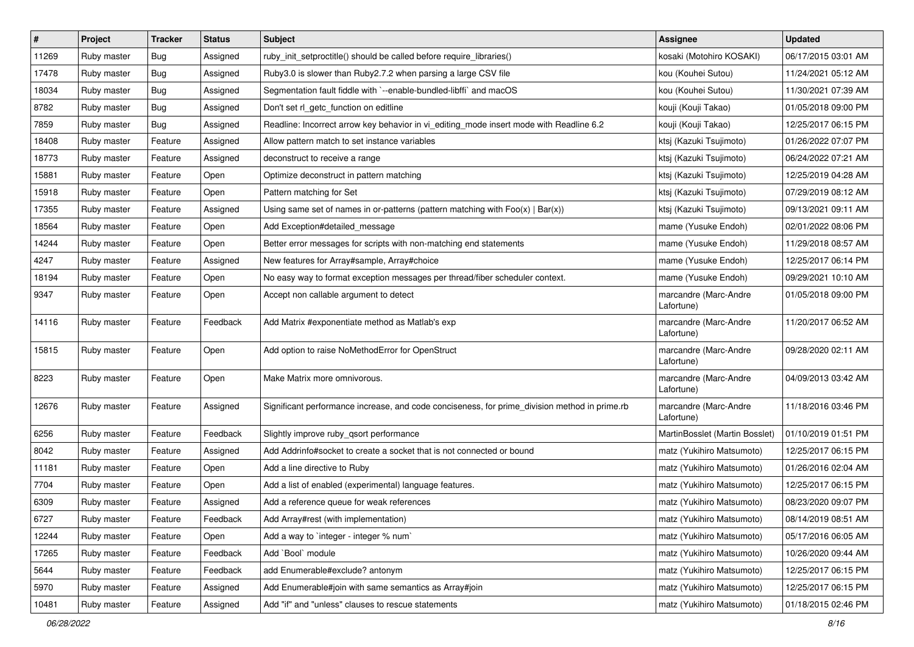| #     | Project     | <b>Tracker</b> | <b>Status</b> | Subject                                                                                       | <b>Assignee</b>                     | <b>Updated</b>      |
|-------|-------------|----------------|---------------|-----------------------------------------------------------------------------------------------|-------------------------------------|---------------------|
| 11269 | Ruby master | <b>Bug</b>     | Assigned      | ruby_init_setproctitle() should be called before require_libraries()                          | kosaki (Motohiro KOSAKI)            | 06/17/2015 03:01 AM |
| 17478 | Ruby master | <b>Bug</b>     | Assigned      | Ruby3.0 is slower than Ruby2.7.2 when parsing a large CSV file                                | kou (Kouhei Sutou)                  | 11/24/2021 05:12 AM |
| 18034 | Ruby master | <b>Bug</b>     | Assigned      | Segmentation fault fiddle with `--enable-bundled-libffi` and macOS                            | kou (Kouhei Sutou)                  | 11/30/2021 07:39 AM |
| 8782  | Ruby master | <b>Bug</b>     | Assigned      | Don't set rl_getc_function on editline                                                        | kouji (Kouji Takao)                 | 01/05/2018 09:00 PM |
| 7859  | Ruby master | <b>Bug</b>     | Assigned      | Readline: Incorrect arrow key behavior in vi_editing_mode insert mode with Readline 6.2       | kouji (Kouji Takao)                 | 12/25/2017 06:15 PM |
| 18408 | Ruby master | Feature        | Assigned      | Allow pattern match to set instance variables                                                 | ktsj (Kazuki Tsujimoto)             | 01/26/2022 07:07 PM |
| 18773 | Ruby master | Feature        | Assigned      | deconstruct to receive a range                                                                | ktsj (Kazuki Tsujimoto)             | 06/24/2022 07:21 AM |
| 15881 | Ruby master | Feature        | Open          | Optimize deconstruct in pattern matching                                                      | ktsj (Kazuki Tsujimoto)             | 12/25/2019 04:28 AM |
| 15918 | Ruby master | Feature        | Open          | Pattern matching for Set                                                                      | ktsj (Kazuki Tsujimoto)             | 07/29/2019 08:12 AM |
| 17355 | Ruby master | Feature        | Assigned      | Using same set of names in or-patterns (pattern matching with $Foo(x)   Bar(x)$ )             | ktsj (Kazuki Tsujimoto)             | 09/13/2021 09:11 AM |
| 18564 | Ruby master | Feature        | Open          | Add Exception#detailed_message                                                                | mame (Yusuke Endoh)                 | 02/01/2022 08:06 PM |
| 14244 | Ruby master | Feature        | Open          | Better error messages for scripts with non-matching end statements                            | mame (Yusuke Endoh)                 | 11/29/2018 08:57 AM |
| 4247  | Ruby master | Feature        | Assigned      | New features for Array#sample, Array#choice                                                   | mame (Yusuke Endoh)                 | 12/25/2017 06:14 PM |
| 18194 | Ruby master | Feature        | Open          | No easy way to format exception messages per thread/fiber scheduler context.                  | mame (Yusuke Endoh)                 | 09/29/2021 10:10 AM |
| 9347  | Ruby master | Feature        | Open          | Accept non callable argument to detect                                                        | marcandre (Marc-Andre<br>Lafortune) | 01/05/2018 09:00 PM |
| 14116 | Ruby master | Feature        | Feedback      | Add Matrix #exponentiate method as Matlab's exp                                               | marcandre (Marc-Andre<br>Lafortune) | 11/20/2017 06:52 AM |
| 15815 | Ruby master | Feature        | Open          | Add option to raise NoMethodError for OpenStruct                                              | marcandre (Marc-Andre<br>Lafortune) | 09/28/2020 02:11 AM |
| 8223  | Ruby master | Feature        | Open          | Make Matrix more omnivorous.                                                                  | marcandre (Marc-Andre<br>Lafortune) | 04/09/2013 03:42 AM |
| 12676 | Ruby master | Feature        | Assigned      | Significant performance increase, and code conciseness, for prime_division method in prime.rb | marcandre (Marc-Andre<br>Lafortune) | 11/18/2016 03:46 PM |
| 6256  | Ruby master | Feature        | Feedback      | Slightly improve ruby_qsort performance                                                       | MartinBosslet (Martin Bosslet)      | 01/10/2019 01:51 PM |
| 8042  | Ruby master | Feature        | Assigned      | Add Addrinfo#socket to create a socket that is not connected or bound                         | matz (Yukihiro Matsumoto)           | 12/25/2017 06:15 PM |
| 11181 | Ruby master | Feature        | Open          | Add a line directive to Ruby                                                                  | matz (Yukihiro Matsumoto)           | 01/26/2016 02:04 AM |
| 7704  | Ruby master | Feature        | Open          | Add a list of enabled (experimental) language features.                                       | matz (Yukihiro Matsumoto)           | 12/25/2017 06:15 PM |
| 6309  | Ruby master | Feature        | Assigned      | Add a reference queue for weak references                                                     | matz (Yukihiro Matsumoto)           | 08/23/2020 09:07 PM |
| 6727  | Ruby master | Feature        | Feedback      | Add Array#rest (with implementation)                                                          | matz (Yukihiro Matsumoto)           | 08/14/2019 08:51 AM |
| 12244 | Ruby master | Feature        | Open          | Add a way to 'integer - integer % num'                                                        | matz (Yukihiro Matsumoto)           | 05/17/2016 06:05 AM |
| 17265 | Ruby master | Feature        | Feedback      | Add `Bool` module                                                                             | matz (Yukihiro Matsumoto)           | 10/26/2020 09:44 AM |
| 5644  | Ruby master | Feature        | Feedback      | add Enumerable#exclude? antonym                                                               | matz (Yukihiro Matsumoto)           | 12/25/2017 06:15 PM |
| 5970  | Ruby master | Feature        | Assigned      | Add Enumerable#join with same semantics as Array#join                                         | matz (Yukihiro Matsumoto)           | 12/25/2017 06:15 PM |
| 10481 | Ruby master | Feature        | Assigned      | Add "if" and "unless" clauses to rescue statements                                            | matz (Yukihiro Matsumoto)           | 01/18/2015 02:46 PM |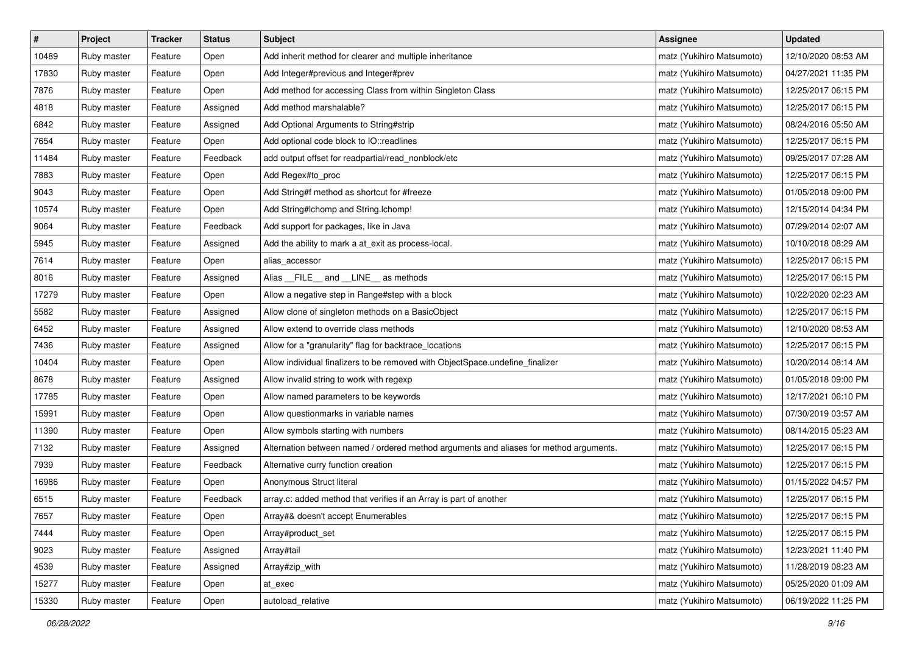| $\vert$ # | Project     | <b>Tracker</b> | <b>Status</b> | <b>Subject</b>                                                                         | <b>Assignee</b>           | <b>Updated</b>      |
|-----------|-------------|----------------|---------------|----------------------------------------------------------------------------------------|---------------------------|---------------------|
| 10489     | Ruby master | Feature        | Open          | Add inherit method for clearer and multiple inheritance                                | matz (Yukihiro Matsumoto) | 12/10/2020 08:53 AM |
| 17830     | Ruby master | Feature        | Open          | Add Integer#previous and Integer#prev                                                  | matz (Yukihiro Matsumoto) | 04/27/2021 11:35 PM |
| 7876      | Ruby master | Feature        | Open          | Add method for accessing Class from within Singleton Class                             | matz (Yukihiro Matsumoto) | 12/25/2017 06:15 PM |
| 4818      | Ruby master | Feature        | Assigned      | Add method marshalable?                                                                | matz (Yukihiro Matsumoto) | 12/25/2017 06:15 PM |
| 6842      | Ruby master | Feature        | Assigned      | Add Optional Arguments to String#strip                                                 | matz (Yukihiro Matsumoto) | 08/24/2016 05:50 AM |
| 7654      | Ruby master | Feature        | Open          | Add optional code block to IO::readlines                                               | matz (Yukihiro Matsumoto) | 12/25/2017 06:15 PM |
| 11484     | Ruby master | Feature        | Feedback      | add output offset for readpartial/read_nonblock/etc                                    | matz (Yukihiro Matsumoto) | 09/25/2017 07:28 AM |
| 7883      | Ruby master | Feature        | Open          | Add Regex#to_proc                                                                      | matz (Yukihiro Matsumoto) | 12/25/2017 06:15 PM |
| 9043      | Ruby master | Feature        | Open          | Add String#f method as shortcut for #freeze                                            | matz (Yukihiro Matsumoto) | 01/05/2018 09:00 PM |
| 10574     | Ruby master | Feature        | Open          | Add String#Ichomp and String.Ichomp!                                                   | matz (Yukihiro Matsumoto) | 12/15/2014 04:34 PM |
| 9064      | Ruby master | Feature        | Feedback      | Add support for packages, like in Java                                                 | matz (Yukihiro Matsumoto) | 07/29/2014 02:07 AM |
| 5945      | Ruby master | Feature        | Assigned      | Add the ability to mark a at_exit as process-local.                                    | matz (Yukihiro Matsumoto) | 10/10/2018 08:29 AM |
| 7614      | Ruby master | Feature        | Open          | alias_accessor                                                                         | matz (Yukihiro Matsumoto) | 12/25/2017 06:15 PM |
| 8016      | Ruby master | Feature        | Assigned      | Alias FILE and LINE as methods                                                         | matz (Yukihiro Matsumoto) | 12/25/2017 06:15 PM |
| 17279     | Ruby master | Feature        | Open          | Allow a negative step in Range#step with a block                                       | matz (Yukihiro Matsumoto) | 10/22/2020 02:23 AM |
| 5582      | Ruby master | Feature        | Assigned      | Allow clone of singleton methods on a BasicObject                                      | matz (Yukihiro Matsumoto) | 12/25/2017 06:15 PM |
| 6452      | Ruby master | Feature        | Assigned      | Allow extend to override class methods                                                 | matz (Yukihiro Matsumoto) | 12/10/2020 08:53 AM |
| 7436      | Ruby master | Feature        | Assigned      | Allow for a "granularity" flag for backtrace_locations                                 | matz (Yukihiro Matsumoto) | 12/25/2017 06:15 PM |
| 10404     | Ruby master | Feature        | Open          | Allow individual finalizers to be removed with ObjectSpace.undefine_finalizer          | matz (Yukihiro Matsumoto) | 10/20/2014 08:14 AM |
| 8678      | Ruby master | Feature        | Assigned      | Allow invalid string to work with regexp                                               | matz (Yukihiro Matsumoto) | 01/05/2018 09:00 PM |
| 17785     | Ruby master | Feature        | Open          | Allow named parameters to be keywords                                                  | matz (Yukihiro Matsumoto) | 12/17/2021 06:10 PM |
| 15991     | Ruby master | Feature        | Open          | Allow questionmarks in variable names                                                  | matz (Yukihiro Matsumoto) | 07/30/2019 03:57 AM |
| 11390     | Ruby master | Feature        | Open          | Allow symbols starting with numbers                                                    | matz (Yukihiro Matsumoto) | 08/14/2015 05:23 AM |
| 7132      | Ruby master | Feature        | Assigned      | Alternation between named / ordered method arguments and aliases for method arguments. | matz (Yukihiro Matsumoto) | 12/25/2017 06:15 PM |
| 7939      | Ruby master | Feature        | Feedback      | Alternative curry function creation                                                    | matz (Yukihiro Matsumoto) | 12/25/2017 06:15 PM |
| 16986     | Ruby master | Feature        | Open          | Anonymous Struct literal                                                               | matz (Yukihiro Matsumoto) | 01/15/2022 04:57 PM |
| 6515      | Ruby master | Feature        | Feedback      | array.c: added method that verifies if an Array is part of another                     | matz (Yukihiro Matsumoto) | 12/25/2017 06:15 PM |
| 7657      | Ruby master | Feature        | Open          | Array#& doesn't accept Enumerables                                                     | matz (Yukihiro Matsumoto) | 12/25/2017 06:15 PM |
| 7444      | Ruby master | Feature        | Open          | Array#product set                                                                      | matz (Yukihiro Matsumoto) | 12/25/2017 06:15 PM |
| 9023      | Ruby master | Feature        | Assigned      | Array#tail                                                                             | matz (Yukihiro Matsumoto) | 12/23/2021 11:40 PM |
| 4539      | Ruby master | Feature        | Assigned      | Array#zip_with                                                                         | matz (Yukihiro Matsumoto) | 11/28/2019 08:23 AM |
| 15277     | Ruby master | Feature        | Open          | at exec                                                                                | matz (Yukihiro Matsumoto) | 05/25/2020 01:09 AM |
| 15330     | Ruby master | Feature        | Open          | autoload_relative                                                                      | matz (Yukihiro Matsumoto) | 06/19/2022 11:25 PM |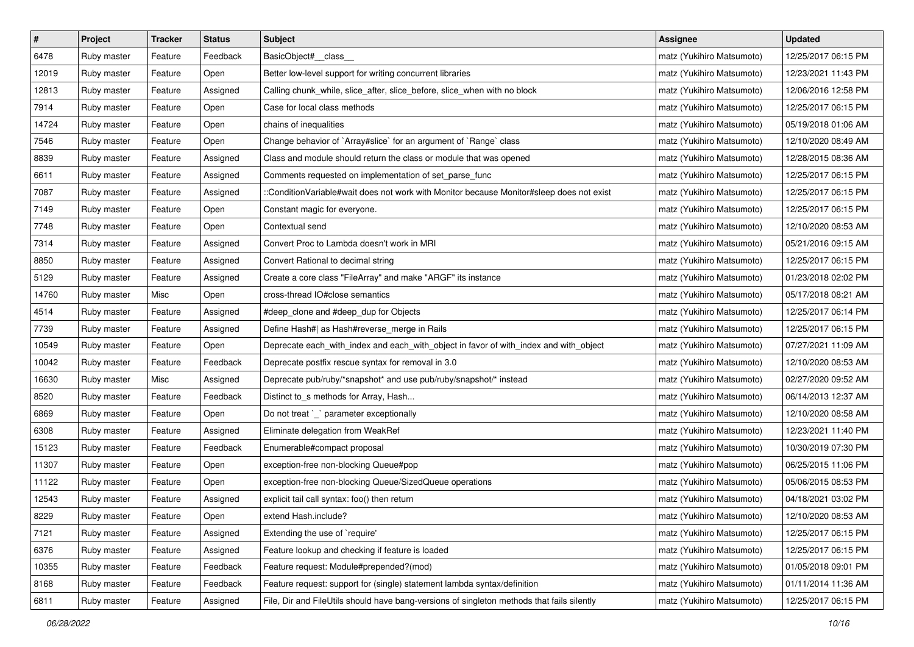| $\pmb{\#}$ | Project     | <b>Tracker</b> | <b>Status</b> | <b>Subject</b>                                                                             | <b>Assignee</b>           | <b>Updated</b>      |
|------------|-------------|----------------|---------------|--------------------------------------------------------------------------------------------|---------------------------|---------------------|
| 6478       | Ruby master | Feature        | Feedback      | BasicObject#_class_                                                                        | matz (Yukihiro Matsumoto) | 12/25/2017 06:15 PM |
| 12019      | Ruby master | Feature        | Open          | Better low-level support for writing concurrent libraries                                  | matz (Yukihiro Matsumoto) | 12/23/2021 11:43 PM |
| 12813      | Ruby master | Feature        | Assigned      | Calling chunk_while, slice_after, slice_before, slice_when with no block                   | matz (Yukihiro Matsumoto) | 12/06/2016 12:58 PM |
| 7914       | Ruby master | Feature        | Open          | Case for local class methods                                                               | matz (Yukihiro Matsumoto) | 12/25/2017 06:15 PM |
| 14724      | Ruby master | Feature        | Open          | chains of inequalities                                                                     | matz (Yukihiro Matsumoto) | 05/19/2018 01:06 AM |
| 7546       | Ruby master | Feature        | Open          | Change behavior of `Array#slice` for an argument of `Range` class                          | matz (Yukihiro Matsumoto) | 12/10/2020 08:49 AM |
| 8839       | Ruby master | Feature        | Assigned      | Class and module should return the class or module that was opened                         | matz (Yukihiro Matsumoto) | 12/28/2015 08:36 AM |
| 6611       | Ruby master | Feature        | Assigned      | Comments requested on implementation of set_parse_func                                     | matz (Yukihiro Matsumoto) | 12/25/2017 06:15 PM |
| 7087       | Ruby master | Feature        | Assigned      | ::ConditionVariable#wait does not work with Monitor because Monitor#sleep does not exist   | matz (Yukihiro Matsumoto) | 12/25/2017 06:15 PM |
| 7149       | Ruby master | Feature        | Open          | Constant magic for everyone.                                                               | matz (Yukihiro Matsumoto) | 12/25/2017 06:15 PM |
| 7748       | Ruby master | Feature        | Open          | Contextual send                                                                            | matz (Yukihiro Matsumoto) | 12/10/2020 08:53 AM |
| 7314       | Ruby master | Feature        | Assigned      | Convert Proc to Lambda doesn't work in MRI                                                 | matz (Yukihiro Matsumoto) | 05/21/2016 09:15 AM |
| 8850       | Ruby master | Feature        | Assigned      | Convert Rational to decimal string                                                         | matz (Yukihiro Matsumoto) | 12/25/2017 06:15 PM |
| 5129       | Ruby master | Feature        | Assigned      | Create a core class "FileArray" and make "ARGF" its instance                               | matz (Yukihiro Matsumoto) | 01/23/2018 02:02 PM |
| 14760      | Ruby master | Misc           | Open          | cross-thread IO#close semantics                                                            | matz (Yukihiro Matsumoto) | 05/17/2018 08:21 AM |
| 4514       | Ruby master | Feature        | Assigned      | #deep_clone and #deep_dup for Objects                                                      | matz (Yukihiro Matsumoto) | 12/25/2017 06:14 PM |
| 7739       | Ruby master | Feature        | Assigned      | Define Hash#  as Hash#reverse_merge in Rails                                               | matz (Yukihiro Matsumoto) | 12/25/2017 06:15 PM |
| 10549      | Ruby master | Feature        | Open          | Deprecate each_with_index and each_with_object in favor of with_index and with_object      | matz (Yukihiro Matsumoto) | 07/27/2021 11:09 AM |
| 10042      | Ruby master | Feature        | Feedback      | Deprecate postfix rescue syntax for removal in 3.0                                         | matz (Yukihiro Matsumoto) | 12/10/2020 08:53 AM |
| 16630      | Ruby master | Misc           | Assigned      | Deprecate pub/ruby/*snapshot* and use pub/ruby/snapshot/* instead                          | matz (Yukihiro Matsumoto) | 02/27/2020 09:52 AM |
| 8520       | Ruby master | Feature        | Feedback      | Distinct to_s methods for Array, Hash                                                      | matz (Yukihiro Matsumoto) | 06/14/2013 12:37 AM |
| 6869       | Ruby master | Feature        | Open          | Do not treat `_` parameter exceptionally                                                   | matz (Yukihiro Matsumoto) | 12/10/2020 08:58 AM |
| 6308       | Ruby master | Feature        | Assigned      | Eliminate delegation from WeakRef                                                          | matz (Yukihiro Matsumoto) | 12/23/2021 11:40 PM |
| 15123      | Ruby master | Feature        | Feedback      | Enumerable#compact proposal                                                                | matz (Yukihiro Matsumoto) | 10/30/2019 07:30 PM |
| 11307      | Ruby master | Feature        | Open          | exception-free non-blocking Queue#pop                                                      | matz (Yukihiro Matsumoto) | 06/25/2015 11:06 PM |
| 11122      | Ruby master | Feature        | Open          | exception-free non-blocking Queue/SizedQueue operations                                    | matz (Yukihiro Matsumoto) | 05/06/2015 08:53 PM |
| 12543      | Ruby master | Feature        | Assigned      | explicit tail call syntax: foo() then return                                               | matz (Yukihiro Matsumoto) | 04/18/2021 03:02 PM |
| 8229       | Ruby master | Feature        | Open          | extend Hash.include?                                                                       | matz (Yukihiro Matsumoto) | 12/10/2020 08:53 AM |
| 7121       | Ruby master | Feature        | Assigned      | Extending the use of `require'                                                             | matz (Yukihiro Matsumoto) | 12/25/2017 06:15 PM |
| 6376       | Ruby master | Feature        | Assigned      | Feature lookup and checking if feature is loaded                                           | matz (Yukihiro Matsumoto) | 12/25/2017 06:15 PM |
| 10355      | Ruby master | Feature        | Feedback      | Feature request: Module#prepended?(mod)                                                    | matz (Yukihiro Matsumoto) | 01/05/2018 09:01 PM |
| 8168       | Ruby master | Feature        | Feedback      | Feature request: support for (single) statement lambda syntax/definition                   | matz (Yukihiro Matsumoto) | 01/11/2014 11:36 AM |
| 6811       | Ruby master | Feature        | Assigned      | File, Dir and FileUtils should have bang-versions of singleton methods that fails silently | matz (Yukihiro Matsumoto) | 12/25/2017 06:15 PM |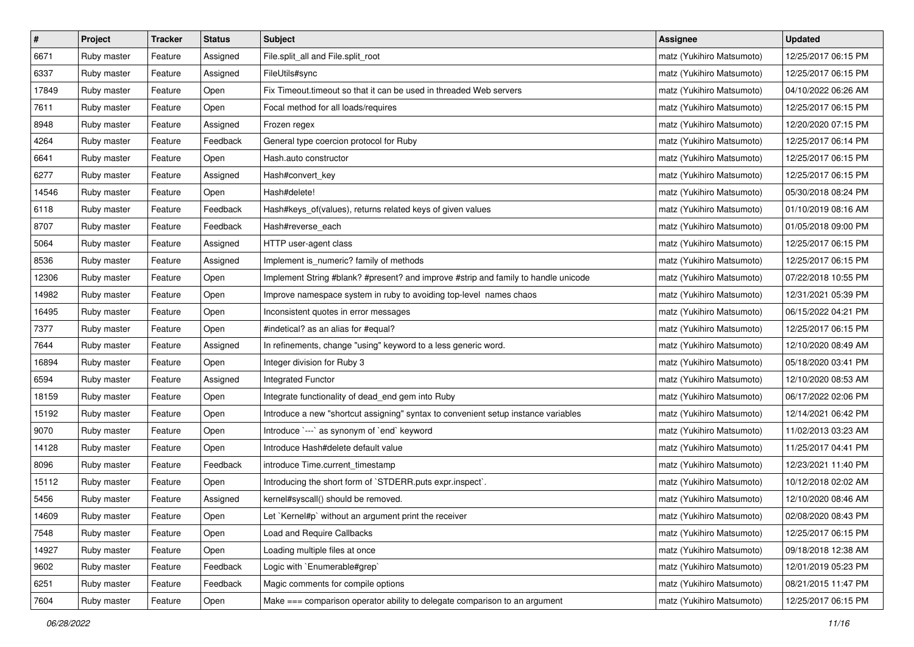| $\pmb{\#}$ | Project     | <b>Tracker</b> | <b>Status</b> | <b>Subject</b>                                                                     | <b>Assignee</b>           | <b>Updated</b>      |
|------------|-------------|----------------|---------------|------------------------------------------------------------------------------------|---------------------------|---------------------|
| 6671       | Ruby master | Feature        | Assigned      | File.split_all and File.split_root                                                 | matz (Yukihiro Matsumoto) | 12/25/2017 06:15 PM |
| 6337       | Ruby master | Feature        | Assigned      | FileUtils#sync                                                                     | matz (Yukihiro Matsumoto) | 12/25/2017 06:15 PM |
| 17849      | Ruby master | Feature        | Open          | Fix Timeout.timeout so that it can be used in threaded Web servers                 | matz (Yukihiro Matsumoto) | 04/10/2022 06:26 AM |
| 7611       | Ruby master | Feature        | Open          | Focal method for all loads/requires                                                | matz (Yukihiro Matsumoto) | 12/25/2017 06:15 PM |
| 8948       | Ruby master | Feature        | Assigned      | Frozen regex                                                                       | matz (Yukihiro Matsumoto) | 12/20/2020 07:15 PM |
| 4264       | Ruby master | Feature        | Feedback      | General type coercion protocol for Ruby                                            | matz (Yukihiro Matsumoto) | 12/25/2017 06:14 PM |
| 6641       | Ruby master | Feature        | Open          | Hash.auto constructor                                                              | matz (Yukihiro Matsumoto) | 12/25/2017 06:15 PM |
| 6277       | Ruby master | Feature        | Assigned      | Hash#convert_key                                                                   | matz (Yukihiro Matsumoto) | 12/25/2017 06:15 PM |
| 14546      | Ruby master | Feature        | Open          | Hash#delete!                                                                       | matz (Yukihiro Matsumoto) | 05/30/2018 08:24 PM |
| 6118       | Ruby master | Feature        | Feedback      | Hash#keys_of(values), returns related keys of given values                         | matz (Yukihiro Matsumoto) | 01/10/2019 08:16 AM |
| 8707       | Ruby master | Feature        | Feedback      | Hash#reverse_each                                                                  | matz (Yukihiro Matsumoto) | 01/05/2018 09:00 PM |
| 5064       | Ruby master | Feature        | Assigned      | HTTP user-agent class                                                              | matz (Yukihiro Matsumoto) | 12/25/2017 06:15 PM |
| 8536       | Ruby master | Feature        | Assigned      | Implement is_numeric? family of methods                                            | matz (Yukihiro Matsumoto) | 12/25/2017 06:15 PM |
| 12306      | Ruby master | Feature        | Open          | Implement String #blank? #present? and improve #strip and family to handle unicode | matz (Yukihiro Matsumoto) | 07/22/2018 10:55 PM |
| 14982      | Ruby master | Feature        | Open          | Improve namespace system in ruby to avoiding top-level names chaos                 | matz (Yukihiro Matsumoto) | 12/31/2021 05:39 PM |
| 16495      | Ruby master | Feature        | Open          | Inconsistent quotes in error messages                                              | matz (Yukihiro Matsumoto) | 06/15/2022 04:21 PM |
| 7377       | Ruby master | Feature        | Open          | #indetical? as an alias for #equal?                                                | matz (Yukihiro Matsumoto) | 12/25/2017 06:15 PM |
| 7644       | Ruby master | Feature        | Assigned      | In refinements, change "using" keyword to a less generic word.                     | matz (Yukihiro Matsumoto) | 12/10/2020 08:49 AM |
| 16894      | Ruby master | Feature        | Open          | Integer division for Ruby 3                                                        | matz (Yukihiro Matsumoto) | 05/18/2020 03:41 PM |
| 6594       | Ruby master | Feature        | Assigned      | Integrated Functor                                                                 | matz (Yukihiro Matsumoto) | 12/10/2020 08:53 AM |
| 18159      | Ruby master | Feature        | Open          | Integrate functionality of dead_end gem into Ruby                                  | matz (Yukihiro Matsumoto) | 06/17/2022 02:06 PM |
| 15192      | Ruby master | Feature        | Open          | Introduce a new "shortcut assigning" syntax to convenient setup instance variables | matz (Yukihiro Matsumoto) | 12/14/2021 06:42 PM |
| 9070       | Ruby master | Feature        | Open          | Introduce `---` as synonym of `end` keyword                                        | matz (Yukihiro Matsumoto) | 11/02/2013 03:23 AM |
| 14128      | Ruby master | Feature        | Open          | Introduce Hash#delete default value                                                | matz (Yukihiro Matsumoto) | 11/25/2017 04:41 PM |
| 8096       | Ruby master | Feature        | Feedback      | introduce Time.current_timestamp                                                   | matz (Yukihiro Matsumoto) | 12/23/2021 11:40 PM |
| 15112      | Ruby master | Feature        | Open          | Introducing the short form of `STDERR.puts expr.inspect`.                          | matz (Yukihiro Matsumoto) | 10/12/2018 02:02 AM |
| 5456       | Ruby master | Feature        | Assigned      | kernel#syscall() should be removed.                                                | matz (Yukihiro Matsumoto) | 12/10/2020 08:46 AM |
| 14609      | Ruby master | Feature        | Open          | Let `Kernel#p` without an argument print the receiver                              | matz (Yukihiro Matsumoto) | 02/08/2020 08:43 PM |
| 7548       | Ruby master | Feature        | Open          | Load and Require Callbacks                                                         | matz (Yukihiro Matsumoto) | 12/25/2017 06:15 PM |
| 14927      | Ruby master | Feature        | Open          | Loading multiple files at once                                                     | matz (Yukihiro Matsumoto) | 09/18/2018 12:38 AM |
| 9602       | Ruby master | Feature        | Feedback      | Logic with `Enumerable#grep`                                                       | matz (Yukihiro Matsumoto) | 12/01/2019 05:23 PM |
| 6251       | Ruby master | Feature        | Feedback      | Magic comments for compile options                                                 | matz (Yukihiro Matsumoto) | 08/21/2015 11:47 PM |
| 7604       | Ruby master | Feature        | Open          | Make === comparison operator ability to delegate comparison to an argument         | matz (Yukihiro Matsumoto) | 12/25/2017 06:15 PM |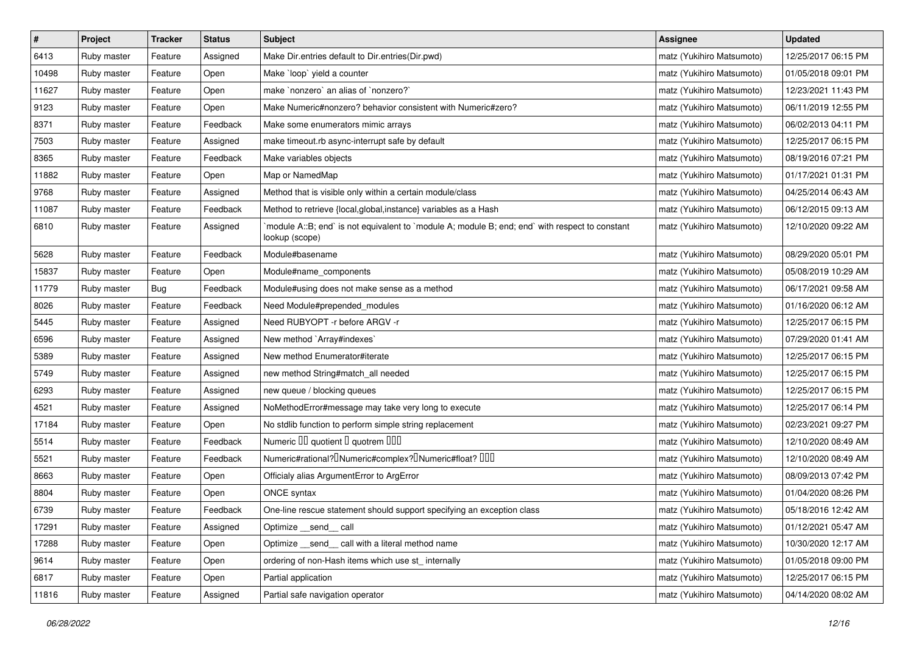| $\sharp$ | Project     | <b>Tracker</b> | <b>Status</b> | <b>Subject</b>                                                                                                   | <b>Assignee</b>           | <b>Updated</b>      |
|----------|-------------|----------------|---------------|------------------------------------------------------------------------------------------------------------------|---------------------------|---------------------|
| 6413     | Ruby master | Feature        | Assigned      | Make Dir.entries default to Dir.entries(Dir.pwd)                                                                 | matz (Yukihiro Matsumoto) | 12/25/2017 06:15 PM |
| 10498    | Ruby master | Feature        | Open          | Make `loop` yield a counter                                                                                      | matz (Yukihiro Matsumoto) | 01/05/2018 09:01 PM |
| 11627    | Ruby master | Feature        | Open          | make `nonzero` an alias of `nonzero?`                                                                            | matz (Yukihiro Matsumoto) | 12/23/2021 11:43 PM |
| 9123     | Ruby master | Feature        | Open          | Make Numeric#nonzero? behavior consistent with Numeric#zero?                                                     | matz (Yukihiro Matsumoto) | 06/11/2019 12:55 PM |
| 8371     | Ruby master | Feature        | Feedback      | Make some enumerators mimic arrays                                                                               | matz (Yukihiro Matsumoto) | 06/02/2013 04:11 PM |
| 7503     | Ruby master | Feature        | Assigned      | make timeout.rb async-interrupt safe by default                                                                  | matz (Yukihiro Matsumoto) | 12/25/2017 06:15 PM |
| 8365     | Ruby master | Feature        | Feedback      | Make variables objects                                                                                           | matz (Yukihiro Matsumoto) | 08/19/2016 07:21 PM |
| 11882    | Ruby master | Feature        | Open          | Map or NamedMap                                                                                                  | matz (Yukihiro Matsumoto) | 01/17/2021 01:31 PM |
| 9768     | Ruby master | Feature        | Assigned      | Method that is visible only within a certain module/class                                                        | matz (Yukihiro Matsumoto) | 04/25/2014 06:43 AM |
| 11087    | Ruby master | Feature        | Feedback      | Method to retrieve {local, global, instance} variables as a Hash                                                 | matz (Yukihiro Matsumoto) | 06/12/2015 09:13 AM |
| 6810     | Ruby master | Feature        | Assigned      | module A::B; end` is not equivalent to `module A; module B; end; end` with respect to constant<br>lookup (scope) | matz (Yukihiro Matsumoto) | 12/10/2020 09:22 AM |
| 5628     | Ruby master | Feature        | Feedback      | Module#basename                                                                                                  | matz (Yukihiro Matsumoto) | 08/29/2020 05:01 PM |
| 15837    | Ruby master | Feature        | Open          | Module#name_components                                                                                           | matz (Yukihiro Matsumoto) | 05/08/2019 10:29 AM |
| 11779    | Ruby master | <b>Bug</b>     | Feedback      | Module#using does not make sense as a method                                                                     | matz (Yukihiro Matsumoto) | 06/17/2021 09:58 AM |
| 8026     | Ruby master | Feature        | Feedback      | Need Module#prepended modules                                                                                    | matz (Yukihiro Matsumoto) | 01/16/2020 06:12 AM |
| 5445     | Ruby master | Feature        | Assigned      | Need RUBYOPT -r before ARGV -r                                                                                   | matz (Yukihiro Matsumoto) | 12/25/2017 06:15 PM |
| 6596     | Ruby master | Feature        | Assigned      | New method `Array#indexes`                                                                                       | matz (Yukihiro Matsumoto) | 07/29/2020 01:41 AM |
| 5389     | Ruby master | Feature        | Assigned      | New method Enumerator#iterate                                                                                    | matz (Yukihiro Matsumoto) | 12/25/2017 06:15 PM |
| 5749     | Ruby master | Feature        | Assigned      | new method String#match_all needed                                                                               | matz (Yukihiro Matsumoto) | 12/25/2017 06:15 PM |
| 6293     | Ruby master | Feature        | Assigned      | new queue / blocking queues                                                                                      | matz (Yukihiro Matsumoto) | 12/25/2017 06:15 PM |
| 4521     | Ruby master | Feature        | Assigned      | NoMethodError#message may take very long to execute                                                              | matz (Yukihiro Matsumoto) | 12/25/2017 06:14 PM |
| 17184    | Ruby master | Feature        | Open          | No stdlib function to perform simple string replacement                                                          | matz (Yukihiro Matsumoto) | 02/23/2021 09:27 PM |
| 5514     | Ruby master | Feature        | Feedback      | Numeric III quotient I quotrem IIII                                                                              | matz (Yukihiro Matsumoto) | 12/10/2020 08:49 AM |
| 5521     | Ruby master | Feature        | Feedback      | Numeric#rational? <sup>[]</sup> Numeric#complex? <sup>[]</sup> Numeric#float? <sup>[10]</sup>                    | matz (Yukihiro Matsumoto) | 12/10/2020 08:49 AM |
| 8663     | Ruby master | Feature        | Open          | Officialy alias ArgumentError to ArgError                                                                        | matz (Yukihiro Matsumoto) | 08/09/2013 07:42 PM |
| 8804     | Ruby master | Feature        | Open          | ONCE syntax                                                                                                      | matz (Yukihiro Matsumoto) | 01/04/2020 08:26 PM |
| 6739     | Ruby master | Feature        | Feedback      | One-line rescue statement should support specifying an exception class                                           | matz (Yukihiro Matsumoto) | 05/18/2016 12:42 AM |
| 17291    | Ruby master | Feature        | Assigned      | Optimize __send__ call                                                                                           | matz (Yukihiro Matsumoto) | 01/12/2021 05:47 AM |
| 17288    | Ruby master | Feature        | Open          | Optimize _send_call with a literal method name                                                                   | matz (Yukihiro Matsumoto) | 10/30/2020 12:17 AM |
| 9614     | Ruby master | Feature        | Open          | ordering of non-Hash items which use st_internally                                                               | matz (Yukihiro Matsumoto) | 01/05/2018 09:00 PM |
| 6817     | Ruby master | Feature        | Open          | Partial application                                                                                              | matz (Yukihiro Matsumoto) | 12/25/2017 06:15 PM |
| 11816    | Ruby master | Feature        | Assigned      | Partial safe navigation operator                                                                                 | matz (Yukihiro Matsumoto) | 04/14/2020 08:02 AM |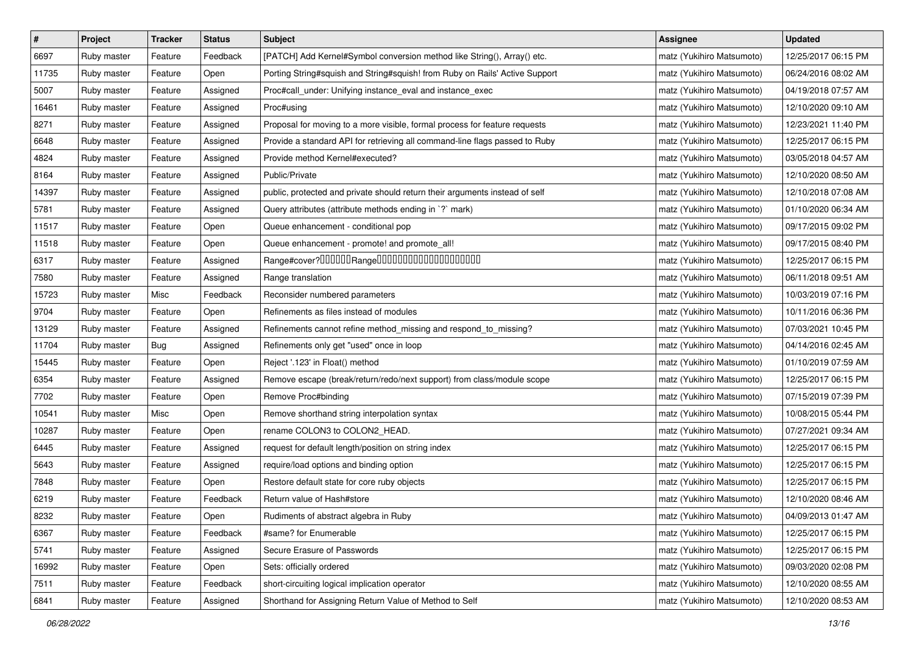| $\pmb{\#}$ | Project     | <b>Tracker</b> | <b>Status</b> | <b>Subject</b>                                                              | Assignee                  | <b>Updated</b>      |
|------------|-------------|----------------|---------------|-----------------------------------------------------------------------------|---------------------------|---------------------|
| 6697       | Ruby master | Feature        | Feedback      | [PATCH] Add Kernel#Symbol conversion method like String(), Array() etc.     | matz (Yukihiro Matsumoto) | 12/25/2017 06:15 PM |
| 11735      | Ruby master | Feature        | Open          | Porting String#squish and String#squish! from Ruby on Rails' Active Support | matz (Yukihiro Matsumoto) | 06/24/2016 08:02 AM |
| 5007       | Ruby master | Feature        | Assigned      | Proc#call_under: Unifying instance_eval and instance_exec                   | matz (Yukihiro Matsumoto) | 04/19/2018 07:57 AM |
| 16461      | Ruby master | Feature        | Assigned      | Proc#using                                                                  | matz (Yukihiro Matsumoto) | 12/10/2020 09:10 AM |
| 8271       | Ruby master | Feature        | Assigned      | Proposal for moving to a more visible, formal process for feature requests  | matz (Yukihiro Matsumoto) | 12/23/2021 11:40 PM |
| 6648       | Ruby master | Feature        | Assigned      | Provide a standard API for retrieving all command-line flags passed to Ruby | matz (Yukihiro Matsumoto) | 12/25/2017 06:15 PM |
| 4824       | Ruby master | Feature        | Assigned      | Provide method Kernel#executed?                                             | matz (Yukihiro Matsumoto) | 03/05/2018 04:57 AM |
| 8164       | Ruby master | Feature        | Assigned      | Public/Private                                                              | matz (Yukihiro Matsumoto) | 12/10/2020 08:50 AM |
| 14397      | Ruby master | Feature        | Assigned      | public, protected and private should return their arguments instead of self | matz (Yukihiro Matsumoto) | 12/10/2018 07:08 AM |
| 5781       | Ruby master | Feature        | Assigned      | Query attributes (attribute methods ending in `?` mark)                     | matz (Yukihiro Matsumoto) | 01/10/2020 06:34 AM |
| 11517      | Ruby master | Feature        | Open          | Queue enhancement - conditional pop                                         | matz (Yukihiro Matsumoto) | 09/17/2015 09:02 PM |
| 11518      | Ruby master | Feature        | Open          | Queue enhancement - promote! and promote_all!                               | matz (Yukihiro Matsumoto) | 09/17/2015 08:40 PM |
| 6317       | Ruby master | Feature        | Assigned      | Range#cover?000000Range00000000000000000000                                 | matz (Yukihiro Matsumoto) | 12/25/2017 06:15 PM |
| 7580       | Ruby master | Feature        | Assigned      | Range translation                                                           | matz (Yukihiro Matsumoto) | 06/11/2018 09:51 AM |
| 15723      | Ruby master | Misc           | Feedback      | Reconsider numbered parameters                                              | matz (Yukihiro Matsumoto) | 10/03/2019 07:16 PM |
| 9704       | Ruby master | Feature        | Open          | Refinements as files instead of modules                                     | matz (Yukihiro Matsumoto) | 10/11/2016 06:36 PM |
| 13129      | Ruby master | Feature        | Assigned      | Refinements cannot refine method_missing and respond_to_missing?            | matz (Yukihiro Matsumoto) | 07/03/2021 10:45 PM |
| 11704      | Ruby master | Bug            | Assigned      | Refinements only get "used" once in loop                                    | matz (Yukihiro Matsumoto) | 04/14/2016 02:45 AM |
| 15445      | Ruby master | Feature        | Open          | Reject '.123' in Float() method                                             | matz (Yukihiro Matsumoto) | 01/10/2019 07:59 AM |
| 6354       | Ruby master | Feature        | Assigned      | Remove escape (break/return/redo/next support) from class/module scope      | matz (Yukihiro Matsumoto) | 12/25/2017 06:15 PM |
| 7702       | Ruby master | Feature        | Open          | Remove Proc#binding                                                         | matz (Yukihiro Matsumoto) | 07/15/2019 07:39 PM |
| 10541      | Ruby master | Misc           | Open          | Remove shorthand string interpolation syntax                                | matz (Yukihiro Matsumoto) | 10/08/2015 05:44 PM |
| 10287      | Ruby master | Feature        | Open          | rename COLON3 to COLON2_HEAD.                                               | matz (Yukihiro Matsumoto) | 07/27/2021 09:34 AM |
| 6445       | Ruby master | Feature        | Assigned      | request for default length/position on string index                         | matz (Yukihiro Matsumoto) | 12/25/2017 06:15 PM |
| 5643       | Ruby master | Feature        | Assigned      | require/load options and binding option                                     | matz (Yukihiro Matsumoto) | 12/25/2017 06:15 PM |
| 7848       | Ruby master | Feature        | Open          | Restore default state for core ruby objects                                 | matz (Yukihiro Matsumoto) | 12/25/2017 06:15 PM |
| 6219       | Ruby master | Feature        | Feedback      | Return value of Hash#store                                                  | matz (Yukihiro Matsumoto) | 12/10/2020 08:46 AM |
| 8232       | Ruby master | Feature        | Open          | Rudiments of abstract algebra in Ruby                                       | matz (Yukihiro Matsumoto) | 04/09/2013 01:47 AM |
| 6367       | Ruby master | Feature        | Feedback      | #same? for Enumerable                                                       | matz (Yukihiro Matsumoto) | 12/25/2017 06:15 PM |
| 5741       | Ruby master | Feature        | Assigned      | Secure Erasure of Passwords                                                 | matz (Yukihiro Matsumoto) | 12/25/2017 06:15 PM |
| 16992      | Ruby master | Feature        | Open          | Sets: officially ordered                                                    | matz (Yukihiro Matsumoto) | 09/03/2020 02:08 PM |
| 7511       | Ruby master | Feature        | Feedback      | short-circuiting logical implication operator                               | matz (Yukihiro Matsumoto) | 12/10/2020 08:55 AM |
| 6841       | Ruby master | Feature        | Assigned      | Shorthand for Assigning Return Value of Method to Self                      | matz (Yukihiro Matsumoto) | 12/10/2020 08:53 AM |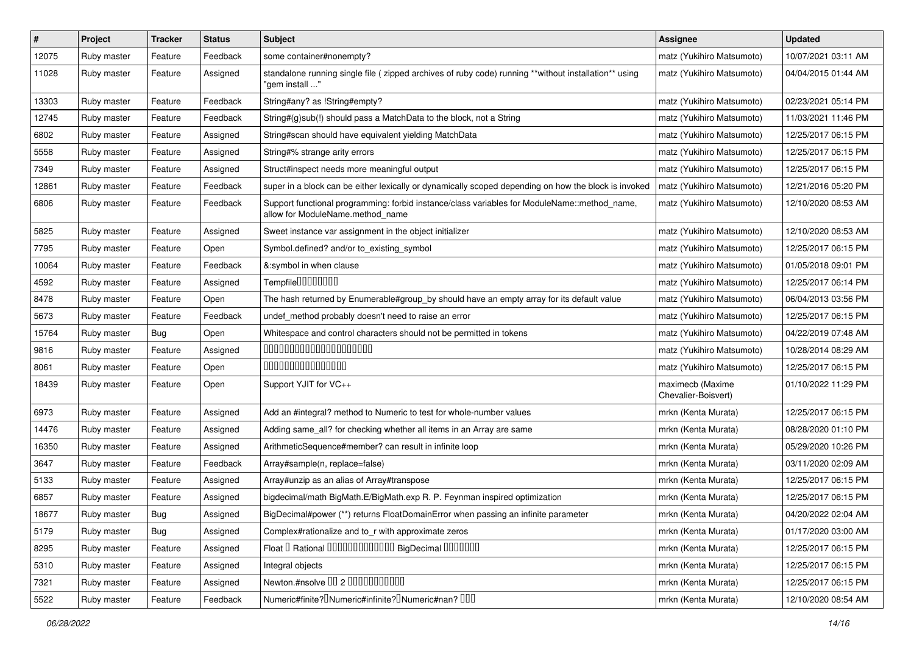| $\#$  | Project     | <b>Tracker</b> | <b>Status</b> | Subject                                                                                                                          | Assignee                                | <b>Updated</b>      |
|-------|-------------|----------------|---------------|----------------------------------------------------------------------------------------------------------------------------------|-----------------------------------------|---------------------|
| 12075 | Ruby master | Feature        | Feedback      | some container#nonempty?                                                                                                         | matz (Yukihiro Matsumoto)               | 10/07/2021 03:11 AM |
| 11028 | Ruby master | Feature        | Assigned      | standalone running single file ( zipped archives of ruby code) running **without installation** using<br>" 'aem install          | matz (Yukihiro Matsumoto)               | 04/04/2015 01:44 AM |
| 13303 | Ruby master | Feature        | Feedback      | String#any? as !String#empty?                                                                                                    | matz (Yukihiro Matsumoto)               | 02/23/2021 05:14 PM |
| 12745 | Ruby master | Feature        | Feedback      | String#(g)sub(!) should pass a MatchData to the block, not a String                                                              | matz (Yukihiro Matsumoto)               | 11/03/2021 11:46 PM |
| 6802  | Ruby master | Feature        | Assigned      | String#scan should have equivalent yielding MatchData                                                                            | matz (Yukihiro Matsumoto)               | 12/25/2017 06:15 PM |
| 5558  | Ruby master | Feature        | Assigned      | String#% strange arity errors                                                                                                    | matz (Yukihiro Matsumoto)               | 12/25/2017 06:15 PM |
| 7349  | Ruby master | Feature        | Assigned      | Struct#inspect needs more meaningful output                                                                                      | matz (Yukihiro Matsumoto)               | 12/25/2017 06:15 PM |
| 12861 | Ruby master | Feature        | Feedback      | super in a block can be either lexically or dynamically scoped depending on how the block is invoked                             | matz (Yukihiro Matsumoto)               | 12/21/2016 05:20 PM |
| 6806  | Ruby master | Feature        | Feedback      | Support functional programming: forbid instance/class variables for ModuleName::method_name,<br>allow for ModuleName.method name | matz (Yukihiro Matsumoto)               | 12/10/2020 08:53 AM |
| 5825  | Ruby master | Feature        | Assigned      | Sweet instance var assignment in the object initializer                                                                          | matz (Yukihiro Matsumoto)               | 12/10/2020 08:53 AM |
| 7795  | Ruby master | Feature        | Open          | Symbol.defined? and/or to_existing_symbol                                                                                        | matz (Yukihiro Matsumoto)               | 12/25/2017 06:15 PM |
| 10064 | Ruby master | Feature        | Feedback      | &:symbol in when clause                                                                                                          | matz (Yukihiro Matsumoto)               | 01/05/2018 09:01 PM |
| 4592  | Ruby master | Feature        | Assigned      | Tempfile0000000                                                                                                                  | matz (Yukihiro Matsumoto)               | 12/25/2017 06:14 PM |
| 8478  | Ruby master | Feature        | Open          | The hash returned by Enumerable#group_by should have an empty array for its default value                                        | matz (Yukihiro Matsumoto)               | 06/04/2013 03:56 PM |
| 5673  | Ruby master | Feature        | Feedback      | undef_method probably doesn't need to raise an error                                                                             | matz (Yukihiro Matsumoto)               | 12/25/2017 06:15 PM |
| 15764 | Ruby master | <b>Bug</b>     | Open          | Whitespace and control characters should not be permitted in tokens                                                              | matz (Yukihiro Matsumoto)               | 04/22/2019 07:48 AM |
| 9816  | Ruby master | Feature        | Assigned      | 00000000000000000000                                                                                                             | matz (Yukihiro Matsumoto)               | 10/28/2014 08:29 AM |
| 8061  | Ruby master | Feature        | Open          | 000000000000000                                                                                                                  | matz (Yukihiro Matsumoto)               | 12/25/2017 06:15 PM |
| 18439 | Ruby master | Feature        | Open          | Support YJIT for VC++                                                                                                            | maximecb (Maxime<br>Chevalier-Boisvert) | 01/10/2022 11:29 PM |
| 6973  | Ruby master | Feature        | Assigned      | Add an #integral? method to Numeric to test for whole-number values                                                              | mrkn (Kenta Murata)                     | 12/25/2017 06:15 PM |
| 14476 | Ruby master | Feature        | Assigned      | Adding same_all? for checking whether all items in an Array are same                                                             | mrkn (Kenta Murata)                     | 08/28/2020 01:10 PM |
| 16350 | Ruby master | Feature        | Assigned      | ArithmeticSequence#member? can result in infinite loop                                                                           | mrkn (Kenta Murata)                     | 05/29/2020 10:26 PM |
| 3647  | Ruby master | Feature        | Feedback      | Array#sample(n, replace=false)                                                                                                   | mrkn (Kenta Murata)                     | 03/11/2020 02:09 AM |
| 5133  | Ruby master | Feature        | Assigned      | Array#unzip as an alias of Array#transpose                                                                                       | mrkn (Kenta Murata)                     | 12/25/2017 06:15 PM |
| 6857  | Ruby master | Feature        | Assigned      | bigdecimal/math BigMath.E/BigMath.exp R. P. Feynman inspired optimization                                                        | mrkn (Kenta Murata)                     | 12/25/2017 06:15 PM |
| 18677 | Ruby master | Bug            | Assigned      | BigDecimal#power (**) returns FloatDomainError when passing an infinite parameter                                                | mrkn (Kenta Murata)                     | 04/20/2022 02:04 AM |
| 5179  | Ruby master | Bug            | Assigned      | Complex#rationalize and to_r with approximate zeros                                                                              | mrkn (Kenta Murata)                     | 01/17/2020 03:00 AM |
| 8295  | Ruby master | Feature        | Assigned      | Float I Rational 0000000000000 BigDecimal 0000000                                                                                | mrkn (Kenta Murata)                     | 12/25/2017 06:15 PM |
| 5310  | Ruby master | Feature        | Assigned      | Integral objects                                                                                                                 | mrkn (Kenta Murata)                     | 12/25/2017 06:15 PM |
| 7321  | Ruby master | Feature        | Assigned      | Newton.#nsolve 00 2 0000000000                                                                                                   | mrkn (Kenta Murata)                     | 12/25/2017 06:15 PM |
| 5522  | Ruby master | Feature        | Feedback      | Numeric#finite? Numeric#infinite? INumeric#nan? IIII                                                                             | mrkn (Kenta Murata)                     | 12/10/2020 08:54 AM |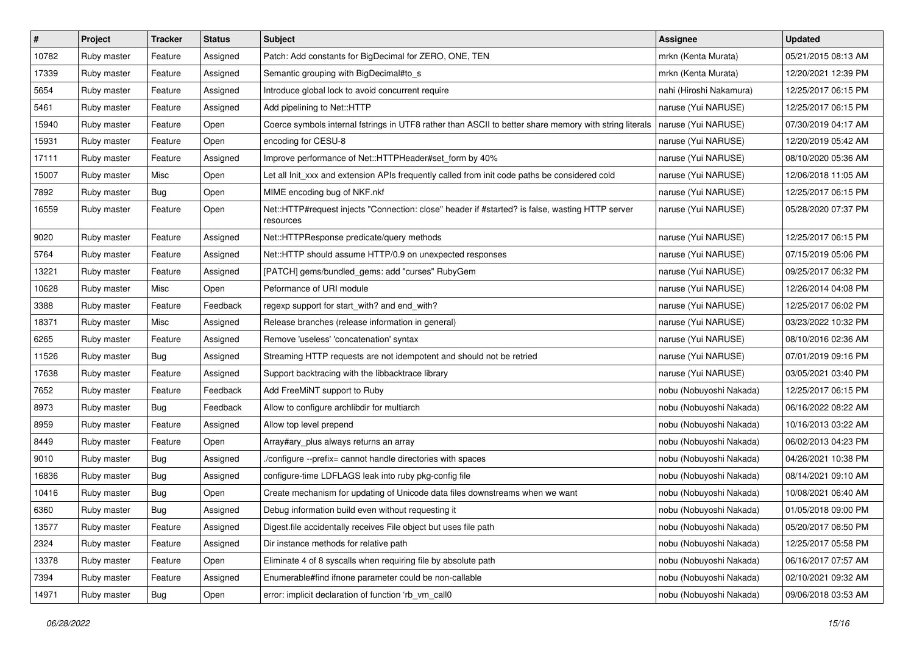| $\pmb{\#}$ | Project     | <b>Tracker</b> | <b>Status</b> | Subject                                                                                                      | <b>Assignee</b>         | <b>Updated</b>      |
|------------|-------------|----------------|---------------|--------------------------------------------------------------------------------------------------------------|-------------------------|---------------------|
| 10782      | Ruby master | Feature        | Assigned      | Patch: Add constants for BigDecimal for ZERO, ONE, TEN                                                       | mrkn (Kenta Murata)     | 05/21/2015 08:13 AM |
| 17339      | Ruby master | Feature        | Assigned      | Semantic grouping with BigDecimal#to_s                                                                       | mrkn (Kenta Murata)     | 12/20/2021 12:39 PM |
| 5654       | Ruby master | Feature        | Assigned      | Introduce global lock to avoid concurrent require                                                            | nahi (Hiroshi Nakamura) | 12/25/2017 06:15 PM |
| 5461       | Ruby master | Feature        | Assigned      | Add pipelining to Net::HTTP                                                                                  | naruse (Yui NARUSE)     | 12/25/2017 06:15 PM |
| 15940      | Ruby master | Feature        | Open          | Coerce symbols internal fstrings in UTF8 rather than ASCII to better share memory with string literals       | naruse (Yui NARUSE)     | 07/30/2019 04:17 AM |
| 15931      | Ruby master | Feature        | Open          | encoding for CESU-8                                                                                          | naruse (Yui NARUSE)     | 12/20/2019 05:42 AM |
| 17111      | Ruby master | Feature        | Assigned      | Improve performance of Net::HTTPHeader#set_form by 40%                                                       | naruse (Yui NARUSE)     | 08/10/2020 05:36 AM |
| 15007      | Ruby master | Misc           | Open          | Let all Init xxx and extension APIs frequently called from init code paths be considered cold                | naruse (Yui NARUSE)     | 12/06/2018 11:05 AM |
| 7892       | Ruby master | <b>Bug</b>     | Open          | MIME encoding bug of NKF.nkf                                                                                 | naruse (Yui NARUSE)     | 12/25/2017 06:15 PM |
| 16559      | Ruby master | Feature        | Open          | Net::HTTP#request injects "Connection: close" header if #started? is false, wasting HTTP server<br>resources | naruse (Yui NARUSE)     | 05/28/2020 07:37 PM |
| 9020       | Ruby master | Feature        | Assigned      | Net::HTTPResponse predicate/query methods                                                                    | naruse (Yui NARUSE)     | 12/25/2017 06:15 PM |
| 5764       | Ruby master | Feature        | Assigned      | Net::HTTP should assume HTTP/0.9 on unexpected responses                                                     | naruse (Yui NARUSE)     | 07/15/2019 05:06 PM |
| 13221      | Ruby master | Feature        | Assigned      | [PATCH] gems/bundled_gems: add "curses" RubyGem                                                              | naruse (Yui NARUSE)     | 09/25/2017 06:32 PM |
| 10628      | Ruby master | Misc           | Open          | Peformance of URI module                                                                                     | naruse (Yui NARUSE)     | 12/26/2014 04:08 PM |
| 3388       | Ruby master | Feature        | Feedback      | regexp support for start_with? and end_with?                                                                 | naruse (Yui NARUSE)     | 12/25/2017 06:02 PM |
| 18371      | Ruby master | Misc           | Assigned      | Release branches (release information in general)                                                            | naruse (Yui NARUSE)     | 03/23/2022 10:32 PM |
| 6265       | Ruby master | Feature        | Assigned      | Remove 'useless' 'concatenation' syntax                                                                      | naruse (Yui NARUSE)     | 08/10/2016 02:36 AM |
| 11526      | Ruby master | <b>Bug</b>     | Assigned      | Streaming HTTP requests are not idempotent and should not be retried                                         | naruse (Yui NARUSE)     | 07/01/2019 09:16 PM |
| 17638      | Ruby master | Feature        | Assigned      | Support backtracing with the libbacktrace library                                                            | naruse (Yui NARUSE)     | 03/05/2021 03:40 PM |
| 7652       | Ruby master | Feature        | Feedback      | Add FreeMiNT support to Ruby                                                                                 | nobu (Nobuyoshi Nakada) | 12/25/2017 06:15 PM |
| 8973       | Ruby master | <b>Bug</b>     | Feedback      | Allow to configure archlibdir for multiarch                                                                  | nobu (Nobuyoshi Nakada) | 06/16/2022 08:22 AM |
| 8959       | Ruby master | Feature        | Assigned      | Allow top level prepend                                                                                      | nobu (Nobuyoshi Nakada) | 10/16/2013 03:22 AM |
| 8449       | Ruby master | Feature        | Open          | Array#ary_plus always returns an array                                                                       | nobu (Nobuyoshi Nakada) | 06/02/2013 04:23 PM |
| 9010       | Ruby master | Bug            | Assigned      | /configure --prefix= cannot handle directories with spaces                                                   | nobu (Nobuyoshi Nakada) | 04/26/2021 10:38 PM |
| 16836      | Ruby master | Bug            | Assigned      | configure-time LDFLAGS leak into ruby pkg-config file                                                        | nobu (Nobuyoshi Nakada) | 08/14/2021 09:10 AM |
| 10416      | Ruby master | <b>Bug</b>     | Open          | Create mechanism for updating of Unicode data files downstreams when we want                                 | nobu (Nobuyoshi Nakada) | 10/08/2021 06:40 AM |
| 6360       | Ruby master | <b>Bug</b>     | Assigned      | Debug information build even without requesting it                                                           | nobu (Nobuyoshi Nakada) | 01/05/2018 09:00 PM |
| 13577      | Ruby master | Feature        | Assigned      | Digest file accidentally receives File object but uses file path                                             | nobu (Nobuyoshi Nakada) | 05/20/2017 06:50 PM |
| 2324       | Ruby master | Feature        | Assigned      | Dir instance methods for relative path                                                                       | nobu (Nobuyoshi Nakada) | 12/25/2017 05:58 PM |
| 13378      | Ruby master | Feature        | Open          | Eliminate 4 of 8 syscalls when requiring file by absolute path                                               | nobu (Nobuyoshi Nakada) | 06/16/2017 07:57 AM |
| 7394       | Ruby master | Feature        | Assigned      | Enumerable#find ifnone parameter could be non-callable                                                       | nobu (Nobuyoshi Nakada) | 02/10/2021 09:32 AM |
| 14971      | Ruby master | <b>Bug</b>     | Open          | error: implicit declaration of function 'rb_vm_call0                                                         | nobu (Nobuyoshi Nakada) | 09/06/2018 03:53 AM |